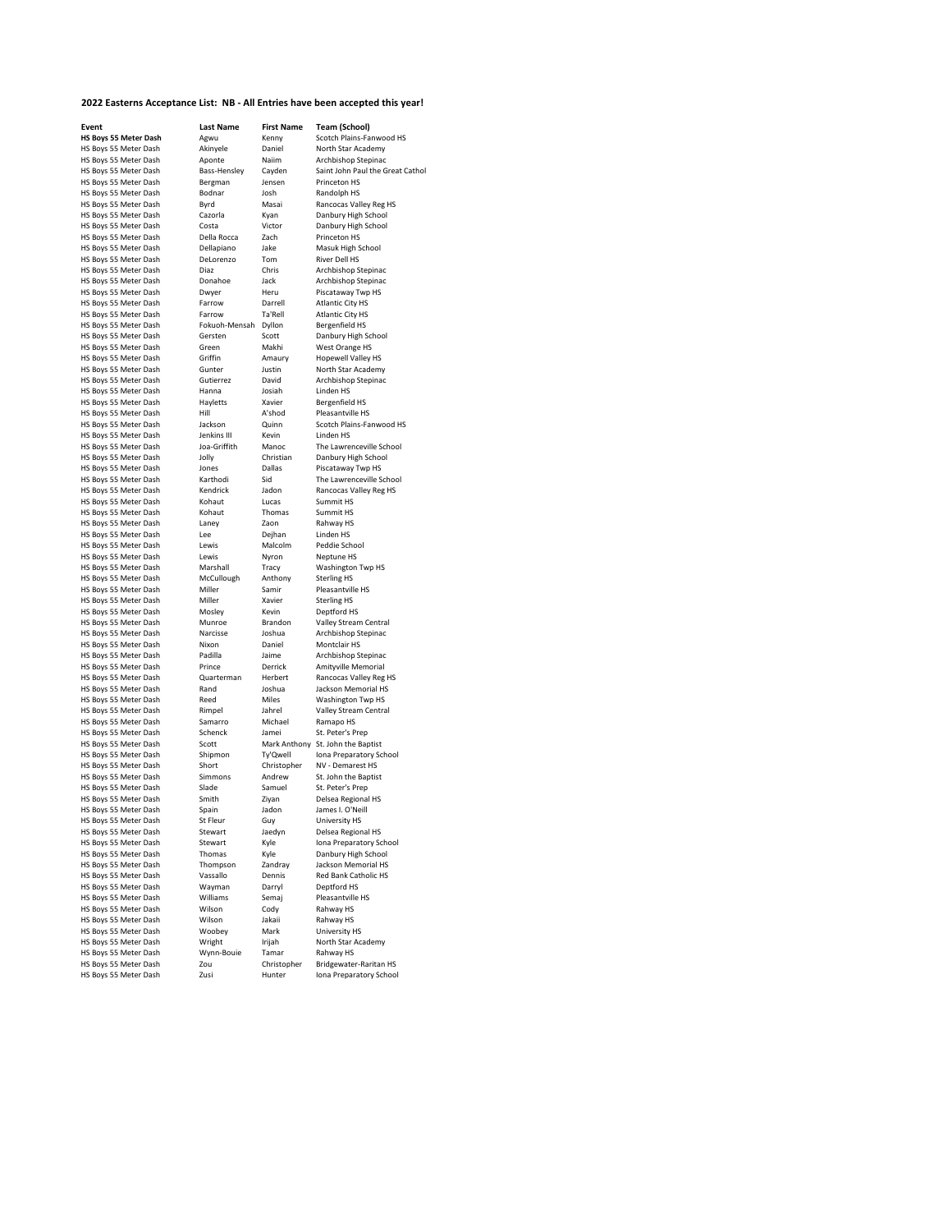## **2022 Easterns Acceptance List: NB - All Entries have been accepted this year!**

| Event                 | <b>Last Name</b> | <b>First Name</b> | <b>Team (School)</b>                        |
|-----------------------|------------------|-------------------|---------------------------------------------|
| HS Boys 55 Meter Dash | Agwu             | Kenny             | Scotch Plains-Fanwood HS                    |
| HS Boys 55 Meter Dash | Akinyele         | Daniel            | North Star Academy                          |
| HS Boys 55 Meter Dash | Aponte           | Naiim             | Archbishop Stepinac                         |
| HS Boys 55 Meter Dash | Bass-Hensley     | Cayden            | Saint John Paul the Great Catho             |
| HS Boys 55 Meter Dash | Bergman          | Jensen            | Princeton HS                                |
| HS Boys 55 Meter Dash | Bodnar           | Josh              | Randolph HS                                 |
| HS Boys 55 Meter Dash | Byrd             | Masai             | Rancocas Valley Reg HS                      |
| HS Boys 55 Meter Dash | Cazorla          | Kyan              | Danbury High School                         |
| HS Boys 55 Meter Dash | Costa            | Victor            | Danbury High School                         |
| HS Boys 55 Meter Dash | Della Rocca      | Zach              | Princeton HS                                |
| HS Boys 55 Meter Dash | Dellapiano       | Jake              | Masuk High School                           |
| HS Boys 55 Meter Dash | DeLorenzo        | Tom               | River Dell HS                               |
| HS Boys 55 Meter Dash | Diaz             | Chris             | Archbishop Stepinac                         |
| HS Boys 55 Meter Dash | Donahoe          | Jack              | Archbishop Stepinac                         |
| HS Boys 55 Meter Dash | Dwyer            | Heru              | Piscataway Twp HS                           |
| HS Boys 55 Meter Dash | Farrow           | Darrell           | <b>Atlantic City HS</b>                     |
| HS Boys 55 Meter Dash | Farrow           | Ta'Rell           | Atlantic City HS                            |
| HS Boys 55 Meter Dash | Fokuoh-Mensah    | Dyllon            | Bergenfield HS                              |
| HS Boys 55 Meter Dash | Gersten          | Scott             | Danbury High School                         |
| HS Boys 55 Meter Dash | Green            | Makhi             | West Orange HS                              |
| HS Boys 55 Meter Dash | Griffin          | Amaury            | Hopewell Valley HS                          |
| HS Boys 55 Meter Dash | Gunter           | Justin            | North Star Academy                          |
| HS Boys 55 Meter Dash | Gutierrez        | David             | Archbishop Stepinac                         |
| HS Boys 55 Meter Dash | Hanna            | Josiah            | Linden HS                                   |
| HS Boys 55 Meter Dash | Hayletts         | Xavier            | Bergenfield HS                              |
| HS Boys 55 Meter Dash | Hill             | A'shod            | Pleasantville HS                            |
| HS Boys 55 Meter Dash | Jackson          | Quinn             | Scotch Plains-Fanwood HS                    |
| HS Boys 55 Meter Dash | Jenkins III      | Kevin             | Linden HS                                   |
| HS Boys 55 Meter Dash | Joa-Griffith     | Manoc             | The Lawrenceville School                    |
| HS Boys 55 Meter Dash | Jolly            | Christian         | Danbury High School                         |
| HS Boys 55 Meter Dash | Jones            | Dallas            | Piscataway Twp HS                           |
| HS Boys 55 Meter Dash | Karthodi         | Sid               | The Lawrenceville School                    |
| HS Boys 55 Meter Dash | Kendrick         | Jadon             | Rancocas Valley Reg HS                      |
| HS Boys 55 Meter Dash | Kohaut           | Lucas             | Summit HS                                   |
| HS Boys 55 Meter Dash | Kohaut           | Thomas            | Summit HS                                   |
| HS Boys 55 Meter Dash | Laney            | Zaon              | Rahway HS                                   |
| HS Boys 55 Meter Dash | Lee              | Deihan            | Linden HS                                   |
| HS Boys 55 Meter Dash | Lewis            | Malcolm           | Peddie School                               |
| HS Boys 55 Meter Dash | Lewis            | Nyron             | Neptune HS                                  |
| HS Boys 55 Meter Dash | Marshall         | Tracy             | Washington Twp HS                           |
| HS Boys 55 Meter Dash | McCullough       | Anthony           | <b>Sterling HS</b>                          |
| HS Boys 55 Meter Dash | Miller           | Samir             | Pleasantville HS                            |
| HS Boys 55 Meter Dash | Miller           | Xavier            | <b>Sterling HS</b>                          |
| HS Boys 55 Meter Dash | Mosley           | Kevin             | Deptford HS                                 |
| HS Boys 55 Meter Dash | Munroe           | Brandon           | Valley Stream Central                       |
| HS Boys 55 Meter Dash | Narcisse         | Joshua            | Archbishop Stepinac                         |
| HS Boys 55 Meter Dash | Nixon            | Daniel            | Montclair HS                                |
| HS Boys 55 Meter Dash | Padilla          | Jaime             | Archbishop Stepinac                         |
| HS Boys 55 Meter Dash | Prince           | Derrick           | Amityville Memorial                         |
| HS Boys 55 Meter Dash | Quarterman       | Herbert           | Rancocas Valley Reg HS                      |
| HS Boys 55 Meter Dash | Rand             | Joshua            | Jackson Memorial HS                         |
| HS Boys 55 Meter Dash | Reed             | Miles             | Washington Twp HS                           |
| HS Boys 55 Meter Dash | Rimpel           | Jahrel            | Valley Stream Central                       |
| HS Boys 55 Meter Dash | Samarro          | Michael           | Ramapo HS                                   |
| HS Boys 55 Meter Dash | Schenck          | Jamei             | St. Peter's Prep                            |
| HS Boys 55 Meter Dash | Scott            |                   |                                             |
| HS Boys 55 Meter Dash | Shipmon          | Ty'Qwell          | Mark Anthony St. John the Baptist           |
| HS Boys 55 Meter Dash | Short            | Christopher       | Iona Preparatory School<br>NV - Demarest HS |
|                       | Simmons          | Andrew            |                                             |
| HS Boys 55 Meter Dash |                  |                   | St. John the Baptist                        |
| HS Boys 55 Meter Dash | Slade            | Samuel            | St. Peter's Prep                            |
| HS Boys 55 Meter Dash | Smith            | Ziyan             | Delsea Regional HS                          |
| HS Boys 55 Meter Dash | Spain            | Jadon             | James I. O'Neill                            |
| HS Boys 55 Meter Dash | St Fleur         | Guy               | University HS                               |
| HS Boys 55 Meter Dash | Stewart          | Jaedyn            | Delsea Regional HS                          |
| HS Boys 55 Meter Dash | Stewart          | Kyle              | Iona Preparatory School                     |
| HS Boys 55 Meter Dash | Thomas           | Kyle              | Danbury High School                         |
| HS Boys 55 Meter Dash | Thompson         | Zandray           | Jackson Memorial HS                         |
| HS Boys 55 Meter Dash | Vassallo         | Dennis            | Red Bank Catholic HS                        |
| HS Boys 55 Meter Dash | Wayman           | Darryl            | Deptford HS                                 |
| HS Boys 55 Meter Dash | Williams         | Semaj             | Pleasantville HS                            |
| HS Boys 55 Meter Dash | Wilson           | Cody              | Rahway HS                                   |
| HS Boys 55 Meter Dash | Wilson           | Jakaii            | Rahway HS                                   |
| HS Boys 55 Meter Dash | Woobey           | Mark              | University HS                               |
| HS Boys 55 Meter Dash | Wright           | Irijah            | North Star Academy                          |
| HS Boys 55 Meter Dash | Wynn-Bouie       | Tamar             | Rahway HS                                   |
| HS Boys 55 Meter Dash | Zou              | Christopher       | Bridgewater-Raritan HS                      |

| 2022 Easterns Acceptance List:  NB - All Entries have been accepted this |                  |                   |                                               |
|--------------------------------------------------------------------------|------------------|-------------------|-----------------------------------------------|
| Event                                                                    | <b>Last Name</b> | <b>First Name</b> | <b>Team (School)</b><br>Scotch Plains-Fanwood |
| HS Boys 55 Meter Dash<br>HS Boys 55 Meter Dash                           | Agwu             | Kenny             |                                               |
|                                                                          | Akinyele         | Daniel            | North Star Academy                            |
| HS Boys 55 Meter Dash                                                    | Aponte           | Naiim             | Archbishop Stepinac                           |
| HS Boys 55 Meter Dash                                                    | Bass-Hensley     | Cayden            | Saint John Paul the Grea                      |
| HS Boys 55 Meter Dash                                                    | Bergman          | Jensen            | Princeton HS                                  |
| HS Boys 55 Meter Dash                                                    | Bodnar           | Josh              | Randolph HS                                   |
| HS Boys 55 Meter Dash                                                    | Byrd             | Masai             | Rancocas Valley Reg HS                        |
| HS Boys 55 Meter Dash                                                    | Cazorla          | Kyan              | Danbury High School                           |
| HS Boys 55 Meter Dash                                                    | Costa            | Victor            | Danbury High School                           |
| HS Boys 55 Meter Dash                                                    | Della Rocca      | Zach              | Princeton HS                                  |
| HS Boys 55 Meter Dash                                                    | Dellapiano       | Jake              | Masuk High School                             |
| HS Boys 55 Meter Dash                                                    | DeLorenzo        | Tom               | River Dell HS                                 |
| HS Boys 55 Meter Dash                                                    | Diaz             | Chris             | Archbishop Stepinac                           |
| HS Boys 55 Meter Dash                                                    | Donahoe          | Jack              | Archbishop Stepinac                           |
| HS Boys 55 Meter Dash                                                    | Dwyer            | Heru              | Piscataway Twp HS                             |
| HS Boys 55 Meter Dash                                                    | Farrow           | Darrell           | <b>Atlantic City HS</b>                       |
| HS Boys 55 Meter Dash                                                    | Farrow           | Ta'Rell           | <b>Atlantic City HS</b>                       |
| HS Boys 55 Meter Dash                                                    | Fokuoh-Mensah    | Dyllon            | Bergenfield HS                                |
| HS Boys 55 Meter Dash                                                    | Gersten          | Scott             | Danbury High School                           |
| HS Boys 55 Meter Dash                                                    | Green            | Makhi             | West Orange HS                                |
| HS Boys 55 Meter Dash                                                    | Griffin          | Amaury            | Hopewell Valley HS                            |
| HS Boys 55 Meter Dash                                                    | Gunter           | Justin            | North Star Academy                            |
|                                                                          |                  |                   |                                               |
| HS Boys 55 Meter Dash                                                    | Gutierrez        | David             | Archbishop Stepinac                           |
| HS Boys 55 Meter Dash                                                    | Hanna            | Josiah            | Linden HS                                     |
| HS Boys 55 Meter Dash                                                    | Hayletts         | Xavier            | Bergenfield HS                                |
| HS Boys 55 Meter Dash                                                    | Hill             | A'shod            | Pleasantville HS                              |
| HS Boys 55 Meter Dash                                                    | Jackson          | Quinn             | Scotch Plains-Fanwood                         |
| HS Boys 55 Meter Dash                                                    | Jenkins III      | Kevin             | Linden HS                                     |
| HS Boys 55 Meter Dash                                                    | Joa-Griffith     | Manoc             | The Lawrenceville Schoo                       |
| HS Boys 55 Meter Dash                                                    | Jolly            | Christian         | Danbury High School                           |
| HS Boys 55 Meter Dash                                                    | Jones            | Dallas            | Piscataway Twp HS                             |
| HS Boys 55 Meter Dash                                                    | Karthodi         | Sid               | The Lawrenceville Schoo                       |
| HS Boys 55 Meter Dash                                                    | Kendrick         | Jadon             | Rancocas Valley Reg HS                        |
| HS Boys 55 Meter Dash                                                    | Kohaut           | Lucas             | Summit HS                                     |
| HS Boys 55 Meter Dash                                                    | Kohaut           | Thomas            | Summit HS                                     |
| HS Boys 55 Meter Dash                                                    | Laney            | Zaon              | Rahway HS                                     |
| HS Boys 55 Meter Dash                                                    | Lee              | Dejhan            | Linden <sub>HS</sub>                          |
| HS Boys 55 Meter Dash                                                    | Lewis            | Malcolm           | Peddie School                                 |
| HS Boys 55 Meter Dash                                                    | Lewis            | Nyron             | Neptune HS                                    |
| HS Boys 55 Meter Dash                                                    | Marshall         |                   |                                               |
|                                                                          |                  | Tracy             | Washington Twp HS                             |
| HS Boys 55 Meter Dash                                                    | McCullough       | Anthony           | <b>Sterling HS</b>                            |
| HS Boys 55 Meter Dash                                                    | Miller           | Samir             | Pleasantville HS                              |
| HS Boys 55 Meter Dash                                                    | Miller           | Xavier            | <b>Sterling HS</b>                            |
| HS Boys 55 Meter Dash                                                    | Mosley           | Kevin             | Deptford HS                                   |
| HS Boys 55 Meter Dash                                                    | Munroe           | Brandon           | Valley Stream Central                         |
| HS Boys 55 Meter Dash                                                    | Narcisse         | Joshua            | Archbishop Stepinac                           |
| HS Boys 55 Meter Dash                                                    | Nixon            | Daniel            | Montclair HS                                  |
| HS Boys 55 Meter Dash                                                    | Padilla          | Jaime             | Archbishop Stepinac                           |
| HS Boys 55 Meter Dash                                                    | Prince           | Derrick           | Amityville Memorial                           |
| HS Boys 55 Meter Dash                                                    | Quarterman       | Herbert           | Rancocas Valley Reg HS                        |
| HS Boys 55 Meter Dash                                                    | Rand             | Joshua            | Jackson Memorial HS                           |
| HS Boys 55 Meter Dash                                                    | Reed             | Miles             | Washington Twp HS                             |
| HS Boys 55 Meter Dash                                                    | Rimpel           | Jahrel            | Valley Stream Central                         |
| HS Boys 55 Meter Dash                                                    | Samarro          | Michael           | Ramapo HS                                     |
| HS Boys 55 Meter Dash                                                    | Schenck          | Jamei             | St. Peter's Prep                              |
| HS Boys 55 Meter Dash                                                    | Scott            |                   | Mark Anthony St. John the Baptist             |
| HS Boys 55 Meter Dash                                                    | Shipmon          | Ty'Qwell          | Iona Preparatory School                       |
| HS Boys 55 Meter Dash                                                    | Short            |                   | NV - Demarest HS                              |
|                                                                          |                  | Christopher       |                                               |
| HS Boys 55 Meter Dash                                                    | Simmons          | Andrew            | St. John the Baptist                          |
| HS Boys 55 Meter Dash                                                    | Slade            | Samuel            | St. Peter's Prep                              |
| HS Boys 55 Meter Dash                                                    | Smith            | Ziyan             | Delsea Regional HS                            |
| HS Boys 55 Meter Dash                                                    | Spain            | Jadon             | James I. O'Neill                              |
| HS Boys 55 Meter Dash                                                    | St Fleur         | Guy               | University HS                                 |
| HS Boys 55 Meter Dash                                                    | Stewart          | Jaedyn            | Delsea Regional HS                            |
| HS Boys 55 Meter Dash                                                    | Stewart          | Kyle              | Iona Preparatory School                       |
| HS Boys 55 Meter Dash                                                    | Thomas           | Kyle              | Danbury High School                           |
| HS Boys 55 Meter Dash                                                    | Thompson         | Zandray           | Jackson Memorial HS                           |
| HS Boys 55 Meter Dash                                                    | Vassallo         | Dennis            | Red Bank Catholic HS                          |
| HS Boys 55 Meter Dash                                                    | Wayman           | Darryl            | Deptford HS                                   |
| HS Boys 55 Meter Dash                                                    | Williams         | Semaj             | Pleasantville HS                              |
| HS Boys 55 Meter Dash                                                    | Wilson           | Cody              | Rahway HS                                     |
| HS Boys 55 Meter Dash                                                    | Wilson           | Jakaii            | Rahway HS                                     |
| HS Boys 55 Meter Dash                                                    | Woobey           | Mark              | University HS                                 |
|                                                                          |                  |                   |                                               |
| HS Boys 55 Meter Dash                                                    | Wright           | Irijah            | North Star Academy                            |
| HS Boys 55 Meter Dash                                                    | Wynn-Bouie       | Tamar             | Rahway HS                                     |
| HS Boys 55 Meter Dash                                                    | Zou              | Christopher       | Bridgewater-Raritan HS                        |
| HS Boys 55 Meter Dash                                                    | Zusi             | Hunter            | Iona Preparatory School                       |
|                                                                          |                  |                   |                                               |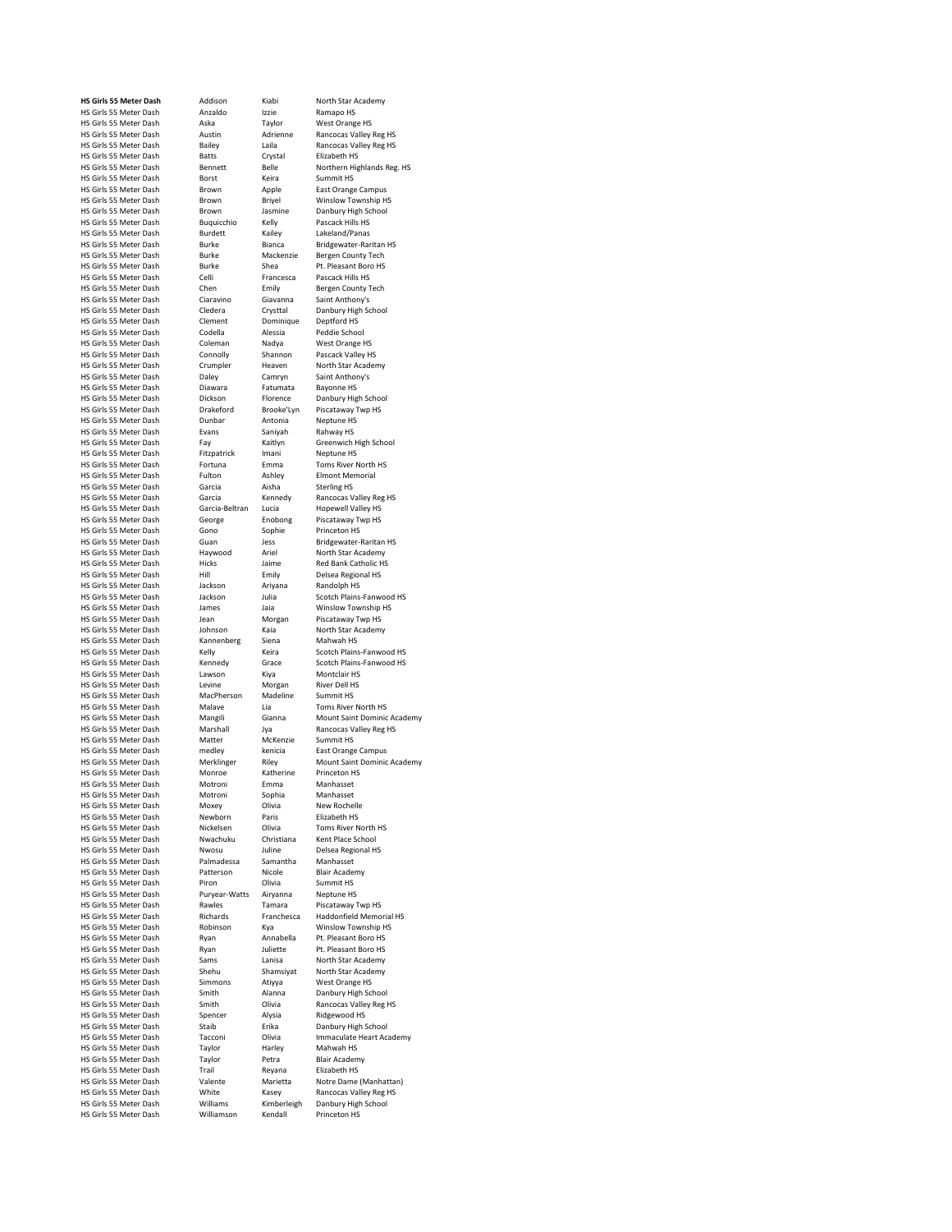HS Girls 55 Meter Dash Aska Taylor<br>HS Girls 55 Meter Dash Aska Taylor<br>HS Girls 55 Meter Dash Austin Adrienne HS Girls 55 Meter Dash Batts Cryst<br>HS Girls 55 Meter Dash Bennett Belle HS Girls 55 Meter Dash Brown Apple<br>
HS Girls 55 Meter Dash Brown Briyel HS Girls 55 Meter Dash Burdett Kailey<br>
HS Girls 55 Meter Dash Burke Bianca HS Girls 55 Meter Dash Ciaravino Ciaravino Giavann<br>HS Girls 55 Meter Dash Ciaravino Giavann<br>HS Girls 55 Meter Dash Cledera Crysttal HS Girls 55 Meter Dash Diawara Fatumat<br>HS Girls 55 Meter Dash Dickson Florence HS Girls 55 Meter Dash Evans Saniyal<br>HS Girls 55 Meter Dash Fay Kaitlyn HS Girls 55 Meter Dash<br>HS Girls 55 Meter Dash HS Girls 55 Meter Dash Garcia-Beltran Lucia<br>
HS Girls 55 Meter Dash George Fnobong HS Girls 55 Meter Dash Gono Sophie Princeton Sophies Sophies Sophie Prince Sophie Prince Sophie Prince Prince<br>HS Girls 55 Meter Dash Guan HS Girls 55 Meter Dash Hicks Jaime<br>HS Girls 55 Meter Dash Hill Emily HS Girls 55 Meter Dash Jackson Ariyana Randolph HS HS Girls 55 Meter Dash Kannenberg Siena<br>HS Girls 55 Meter Dash Kelly Keira HS Girls 55 Meter Dash Malave Lia<br>HS Girls 55 Meter Dash Mangili Gianna HS Girls 55 Meter Dash medley kenicia<br>HS Girls 55 Meter Dash Merklinger Riley HS Girls 55 Meter Dash Motroni Sophi<br>HS Girls 55 Meter Dash Moxey Olivia HS Girls 55 Meter Dash Newborn Paris<br>HS Girls 55 Meter Dash Nickelsen Olivia HS Girls 55 Meter Dash Nwachuku Christ<br>IS Girls 55 Meter Dash Nwosu Juline HS Girls 55 Meter Dash Palmadessa Samantha Manhasset HS Girls 55 Meter Dash Rawles Tamara<br>
HS Girls 55 Meter Dash Richards Franchesca HS Girls 55 Meter Dash Ryan Juliette Publication Area<br>HS Girls 55 Meter Dash Sams Janisa HS Girls 55 Meter Dash Smith Alann<br>HS Girls 55 Meter Dash Smith Dlivia HS Girls 55 Meter Dash HS Girls 55 Meter Dash Trail Reyana<br>HS Girls 55 Meter Dash Valente Marietta

**HS Girls 55 Meter Dash** Addison Kiabi North Star Academy<br> **HS Girls 55 Meter Dash Anzaldo** Izzie Ramano HS HS Girls 55 Meter Dash Anzaldo Izzie Ramapo HS<br>
HS Girls 55 Meter Dash Aska Taylor West Orange HS HS Girls 55 Meter Dash Borst Keira Summit HS Erown Briyel Winslow Township HS<br>Brown Brown Brown Brown Brown HS Girls 55 Meter Dash Brown Jasmine Danbury High S<br>HS Girls 55 Meter Dash Buquicchio Kelly Pascack Hills HS HS Girls 55 Meter Dash Buquicchio Kelly Pascack Hills HS HS Girls 55 Meter Dash Burke Mackenzie Bergen County Tech<br>HS Girls 55 Meter Dash Burke Shea Pt. Pleasant Boro HS HS Girls 55 Meter Dash Burke Shea Pt. Pleasant Boro HS Girls 55 Meter Dash Celli Francesca Pascack Hills HS HS Girls 55 Meter Dash Celli Francesca Pascack Hills HS<br>HS Girls 55 Meter Dash Chen Emily Bergen County Tech HS Girls 55 Meter Dash Chen Emily Bergen County<br>
HS Girls 55 Meter Dash Ciaravino Giavanna Saint Anthony's Cledera Crysttal Danbury High School<br>Clement Dominique Deptford HS HS Girls 55 Meter Dash Clement Dominique Deptford HS HS Girls 55 Meter Dash Codella Alessia Peddie School<br>HS Girls 55 Meter Dash Coleman Nadya West Orange HS HS Girls 55 Meter Dash Coleman Nadya West Orange HS<br>
HS Girls 55 Meter Dash Connolly Shannon Pascack Valley HS HS Girls 55 Meter Dash Connolly Shannon Pascack Valley HS<br>
HS Girls 55 Meter Dash Crumpler Heaven North Star Academy HS Girls 55 Meter Dash Crumpler Heaven North Star Acad<br>
HS Girls 55 Meter Dash Daley Camryn Saint Anthony's HS Girls 55 Meter Dash Daley Camryn Saint Anthon<br>
HS Girls 55 Meter Dash Diawara Fatumata Bayonne HS HS Girls 55 Meter Dash Dickson Florence Danbury High School HS Girls 55 Meter Dash Drakeford Brooke'Lyn Piscataway Twp HS HS Girls 55 Meter Dash Dunbar Antonia Neptune HS<br>HS Girls 55 Meter Dash Evans Saniyah Rahway HS Fay Kaitlyn Greenwich High School<br>Fitznatrick Imani Nentune HS HS Girls 55 Meter Dash Fitzpatrick Imani Neptune HS<br>
HS Girls 55 Meter Dash Fortuna Emma Toms River North HS HS Girls 55 Meter Dash Fortuna Emma Toms River North HS HS Girls 55 Meter Dash Fulton Ashley Elmont Memorial Ashley Elmont Memorial Ashley Elmont Memorial Ashley Elmont Memorial Ashley Elmont Memorial Ashley Elmont Memorial Ashley Elmont Memorial Ashley Elmont Memorial Ashley E George Enobong Piscataway Twp HS<br>Gono Sophie Princeton HS HS Girls 55 Meter Dash Haywood Ariel North Star Academy<br>HS Girls 55 Meter Dash Hicks Jaime Red Bank Catholic HS Hill Emily Delsea Regional HS<br>Jackson Ariyana Randolph HS HS Girls 55 Meter Dash James Jaia Winslow Township HS<br>HS Girls 55 Meter Dash Jean Morgan Piscataway Twp HS HS Girls 55 Meter Dash Johnson Kaia North Star A<br>HS Girls 55 Meter Dash Kannenberg Siena Mahwah HS HS Girls 55 Meter Dash Lawson Kiya Montclair HS<br>HS Girls 55 Meter Dash Levine Morgan River Dell HS HS Girls 55 Meter Dash Levine Morgan River Dell H<br>HS Girls 55 Meter Dash MacPherson Madeline Summit HS HS Girls 55 Meter Dash MacPherson Madeline Summit HS HS Girls 55 Meter Dash Matter McKenzie Summit HS<br>
HS Girls 55 Meter Dash medley kenicia East Orange Campus HS Girls 55 Meter Dash Monroe Katherine Princeton HS HS Girls 55 Meter Dash Motroni Emma Manhasset HS Girls 55 Meter Dash Moxey Olivia New Rochelle<br>HS Girls 55 Meter Dash Newborn Paris Elizabeth HS Nickelsen Olivia Toms River North HS<br>Nwachuku Christiana Kent Place School Nwosu Juline Delsea Regional HS<br>Palmadessa Samantha Manhasset HS Girls 55 Meter Dash Patterson Nicole Blair Academy<br>
HS Girls 55 Meter Dash Piron Olivia Summit HS HS Girls 55 Meter Dash Piron Divia Summit HS<br>HS Girls 55 Meter Dash Puryear-Watts Airyanna Neptune HS HS Girls 55 Meter Dash Puryear-Watts Airyanna Neptune HS<br>HS Girls 55 Meter Dash Rawles Tamara Piscataway Two HS HS Girls 55 Meter Dash Robinson Kya Winslow Township H<br>HS Girls 55 Meter Dash Ryan Annabella Pt. Pleasant Boro HS HS Girls 55 Meter Dash Ryan Annabella Pt. Pleasant Boro HS Ayan Albert 1999<br>Sams Lanisa North Star Academy<br>Shamsiyat North Star Academy HS Girls 55 Meter Dash Shehu Shamsiyat North Star Acade<br>HS Girls 55 Meter Dash Simmons Atiyya West Orange HS HS Girls 55 Meter Dash Simmons Atiyya West Orange HS<br>
HS Girls 55 Meter Dash Smith Alanna Danbury High School HS Girls 55 Meter Dash Spencer Alysia Ridgewood HS (North Science)<br>HS Girls 55 Meter Dash Staib Stail Brika Danbury High Schoo HS Girls 55 Meter Dash Taylor Harley Mahwah HS<br>HS Girls 55 Meter Dash Taylor Petra Blair Academy HS Girls 55 Meter Dash Taylor Petra Blair Academ<br>
HS Girls 55 Meter Dash Trail Reyana Elizabeth HS HS Girls 55 Meter Dash Williamson Kendall Princeton HS

HS Girls 55 Meter Dash Austin Adrienne Rancocas Valley Reg HS Bailey Laila Rancocas Valley Reg HS<br>Batts Crystal Elizabeth HS **Hennett** Belle Northern Highlands Reg. HS<br>
Rorst Keira Summit HS Burke Bianca Bridgewater-Raritan HS<br>Burke Bergen County Tech Garcia Mennedy Rancocas Valley Reg HS<br>Garcia-Beltran Lucia Hopewell Valley HS HS Girls 55 Meter Dash Guan Jess Bridgewater-Raritan HS HS Girls 55 Meter Dash Jackson Julia Scotch Plains-Fanwood HS<br>HS Girls 55 Meter Dash James Jaia Winslow Township HS Piscataway Twp HS<br>North Star Academy HS Girls 55 Meter Dash Kelly Keira Scotch Plains-Fanwood HS<br>HS Girls 55 Meter Dash Kennedy Grace Scotch Plains-Fanwood HS Scotch Plains-Fanwood HS<br>Montclair HS HS Girls 55 Meter Dash Mangili Gianna Mount Saint Dominic Academy<br>HS Girls 55 Meter Dash Marshall Jya Rancocas Valley Reg HS Marshall Jya Rancocas Valley Reg HS<br>Matter McKenzie Summit HS Riley Mount Saint Dominic Academy<br>
Katherine Princeton HS Richards Franchesca Haddonfield Memorial HS<br>Robinson Kya Winslow Township HS Rancocas Valley Reg HS<br>Ridgewood HS HS Girls 55 Meter Dash Tacconi Divia Immaculate Heart Academy<br>
HS Girls 55 Meter Dash Taylor Harley Mahwah HS HS Girls 55 Meter Dash Valente Marietta Notre Dame (Manhattan) HS Girls 55 Meter Dash White Kasey Rancocas Valley Reg HS<br>HS Girls 55 Meter Dash Williams Kimberleigh Danbury High School Danbury High School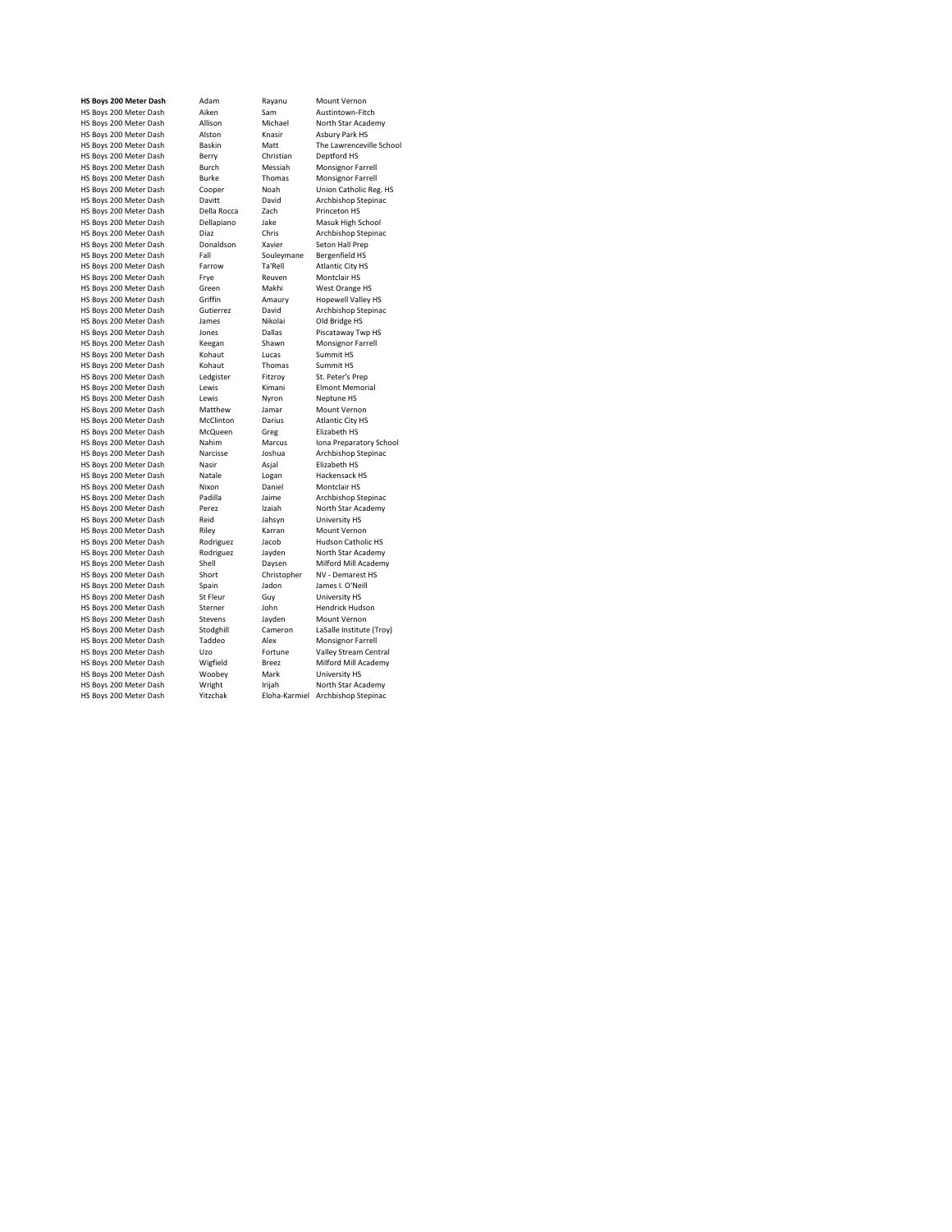|                        | HS Boys 200 Meter Dash | Adam                | Rayanu          | Mount Vernon              |
|------------------------|------------------------|---------------------|-----------------|---------------------------|
| HS Boys 200 Meter Dash |                        | Aiken               | Sam             | Austintown-Fitch          |
| HS Boys 200 Meter Dash |                        | Allison             | Michael         | North Star Academy        |
| HS Boys 200 Meter Dash |                        | Alston              | Knasir          | Asbury Park HS            |
| HS Boys 200 Meter Dash |                        | Baskin              | Matt            | The Lawrenceville Sch     |
| HS Boys 200 Meter Dash |                        | Berry               | Christian       | Deptford HS               |
| HS Boys 200 Meter Dash |                        | Burch               | Messiah         | Monsignor Farrell         |
| HS Boys 200 Meter Dash |                        | Burke               | Thomas          | Monsignor Farrell         |
| HS Boys 200 Meter Dash |                        | Cooper              | Noah            | Union Catholic Reg. H     |
| HS Boys 200 Meter Dash |                        | Davitt              | David           | Archbishop Stepinac       |
| HS Boys 200 Meter Dash |                        | Della Rocca         | Zach            | Princeton HS              |
| HS Boys 200 Meter Dash |                        | Dellapiano          | Jake            | Masuk High School         |
| HS Boys 200 Meter Dash |                        | Diaz                | Chris           | Archbishop Stepinac       |
| HS Boys 200 Meter Dash |                        | Donaldson           | Xavier          | Seton Hall Prep           |
| HS Boys 200 Meter Dash |                        | Fall                | Souleymane      | Bergenfield HS            |
| HS Boys 200 Meter Dash |                        | Farrow              | Ta'Rell         | <b>Atlantic City HS</b>   |
| HS Boys 200 Meter Dash |                        | Frye                | Reuven          | Montclair HS              |
| HS Boys 200 Meter Dash |                        | Green               | Makhi           | West Orange HS            |
| HS Boys 200 Meter Dash |                        | Griffin             | Amaury          | <b>Hopewell Valley HS</b> |
| HS Boys 200 Meter Dash |                        | Gutierrez           | David           | Archbishop Stepinac       |
| HS Boys 200 Meter Dash |                        | James               | Nikolai         | Old Bridge HS             |
| HS Boys 200 Meter Dash |                        | Jones               | Dallas          | Piscataway Twp HS         |
| HS Boys 200 Meter Dash |                        | Keegan              | Shawn           | Monsignor Farrell         |
| HS Boys 200 Meter Dash |                        | Kohaut              | Lucas           | Summit HS                 |
| HS Boys 200 Meter Dash |                        | Kohaut              | Thomas          | Summit HS                 |
| HS Boys 200 Meter Dash |                        | Ledgister           | Fitzroy         | St. Peter's Prep          |
| HS Boys 200 Meter Dash |                        | Lewis               | Kimani          | Elmont Memorial           |
| HS Boys 200 Meter Dash |                        | Lewis               | Nyron           | Neptune HS                |
| HS Boys 200 Meter Dash |                        | Matthew             | Jamar           | Mount Vernon              |
| HS Boys 200 Meter Dash |                        | McClinton           | Darius          | <b>Atlantic City HS</b>   |
| HS Boys 200 Meter Dash |                        | McQueen             | Greg            | Elizabeth HS              |
| HS Boys 200 Meter Dash |                        | Nahim               | Marcus          | Iona Preparatory Sch      |
| HS Boys 200 Meter Dash |                        | Narcisse            | Joshua          | Archbishop Stepinac       |
| HS Boys 200 Meter Dash |                        | Nasir               | Asjal           | Elizabeth HS              |
| HS Boys 200 Meter Dash |                        | Natale              | Logan           | Hackensack HS             |
| HS Boys 200 Meter Dash |                        | Nixon               | Daniel          | Montclair HS              |
| HS Boys 200 Meter Dash |                        | Padilla             | Jaime           | Archbishop Stepinac       |
| HS Boys 200 Meter Dash |                        | Perez               | Izaiah          | North Star Academy        |
| HS Boys 200 Meter Dash |                        | Reid                | Jahsyn          | University HS             |
| HS Boys 200 Meter Dash |                        | Riley               | Karran          | Mount Vernon              |
| HS Boys 200 Meter Dash |                        | Rodriguez           | Jacob           | Hudson Catholic HS        |
| HS Boys 200 Meter Dash |                        | Rodriguez           | Jayden          | North Star Academy        |
| HS Boys 200 Meter Dash |                        | Shell               | Daysen          | Milford Mill Academy      |
| HS Boys 200 Meter Dash |                        | Short               | Christopher     | NV - Demarest HS          |
| HS Boys 200 Meter Dash |                        | Spain               | Jadon           | James I. O'Neill          |
| HS Boys 200 Meter Dash |                        | St Fleur            |                 | University HS             |
| HS Boys 200 Meter Dash |                        |                     | Guy             | Hendrick Hudson           |
| HS Boys 200 Meter Dash |                        | Sterner<br>Stevens  | John            | Mount Vernon              |
|                        |                        |                     | Jayden          |                           |
| HS Boys 200 Meter Dash |                        | Stodghill<br>Taddeo | Cameron<br>Alex | LaSalle Institute (Troy   |
| HS Boys 200 Meter Dash |                        |                     |                 | Monsignor Farrell         |
| HS Boys 200 Meter Dash |                        | Uzo                 | Fortune         | Valley Stream Central     |
| HS Boys 200 Meter Dash |                        | Wigfield            | <b>Breez</b>    | Milford Mill Academy      |
| HS Boys 200 Meter Dash |                        | Woobey              | Mark            | University HS             |
| HS Boys 200 Meter Dash |                        | Wright              | Irijah          | North Star Academy        |
| HS Boys 200 Meter Dash |                        | Yitzchak            | Eloha-Karmiel   | Archbishop Stepinac       |

**Rayanu Mount Vernon**<br>Sam Austintown-Fit Sam Austintown-Fitch<br>Michael North Star Acader n Boys 200 Meter Dash Allison Michael North Star Academy<br>n Knasir Asbury Park HS HS Boys 200 Meter Dash Alston Knasir Asbury Park HS Matt The Lawrenceville School<br>Christian Deptford HS Christian Deptford HS<br>
Messiah Monsignor Fa<br>
Thomas Monsignor Fa Homes Homes<br>Her Moah Union Catholic Reg. HS<br>Howard Archhishon Steninac HS Boys 200 Meter Dash Davitt David Archbishop Stepinac Rocca Zach Princeton HS<br>
piano Jake Masuk High Sr However Homecoming<br>
Archbishop Stepinano Jake<br>
Archbishop Stepina House, and the souleymane<br>Souleymane Bergenfield HS<br>W Ta'Rell Atlantic City HS Ta'Rell Atlantic City HS<br>
Reuven Montclair HS<br>
Makhi West Orange H: HS Boys 200 Meter Dash Griffin Amaury Hopewell Valley HS HS Boys 200 Meter Dash Jones Dallas Piscataway Twp HS Shawn Monsignor Farrell<br>Lucas Summit HS ut Lucas Summit HS<br>ut Thomas Summit HS ut Thomas Summit HS<br>
ster Fitzroy St. Peter's F Hammann Lammann<br>
Nyron Neptune HS<br>
Hew Jamar Mount Verne hew Jamar Mount Vernon<br>Inton Darius Atlantic City HS House Model Model Communisment<br>
Here Darius Atlantic City HS<br>
Hizabeth HS Hows 200 Meter Dash Martin Day<br>1990 Blizabeth HS<br>1990 Marcus Jona Preparat HS Boys 200 Meter Dash Nahim Marcus Iona Preparatory School ات<br>Ie Logan Hackensack HS<br>Chaniel Montclair HS Daniel Montclair HS<br>Jaime Archbishop St Home Archbishop Stepinac<br>la Jaime Archbishop Stepinac<br>z Izaiah North Star Academy Izaiah North Star Academy<br>Jahsyn University HS Jahsyn University HS<br>Karran Mount Vernor Hows 200 Construction<br>Karran Mount Vernon<br>Iguez Jacob Hudson Catholi iguez Jacob Hudson Catholic HS<br>iguez Jayden North Star Academy Experimental Meter Daniel Christopher NV - Demarest HS<br>Ladon James L O'Neill France I. O'Neill<br>
Hendrick Hudson<br>
Hendrick Hudson<br>
Hendrick Hudson HS Boys 200 Meter Dash St Fleur Guy University HS HS Boys 200 Meter Dash Sterner John Hendrick Hudson ens Boyden Mount Vernon<br>Anill Cameron LaSalle Institute As Alberta Corporation Corporation Cameron LaSalle Institute (Troy)<br>
eo Alex Monsignor Farrell Alex Monsignor Farrell<br>
Fortune Valley Stream Cen HS Boys 200 Meter Dash Woobey Mark University HS HS Boys 200 Meter Dash Wright Irijah North Star Academy HS Boha-Karmiel Archbishop Stepinac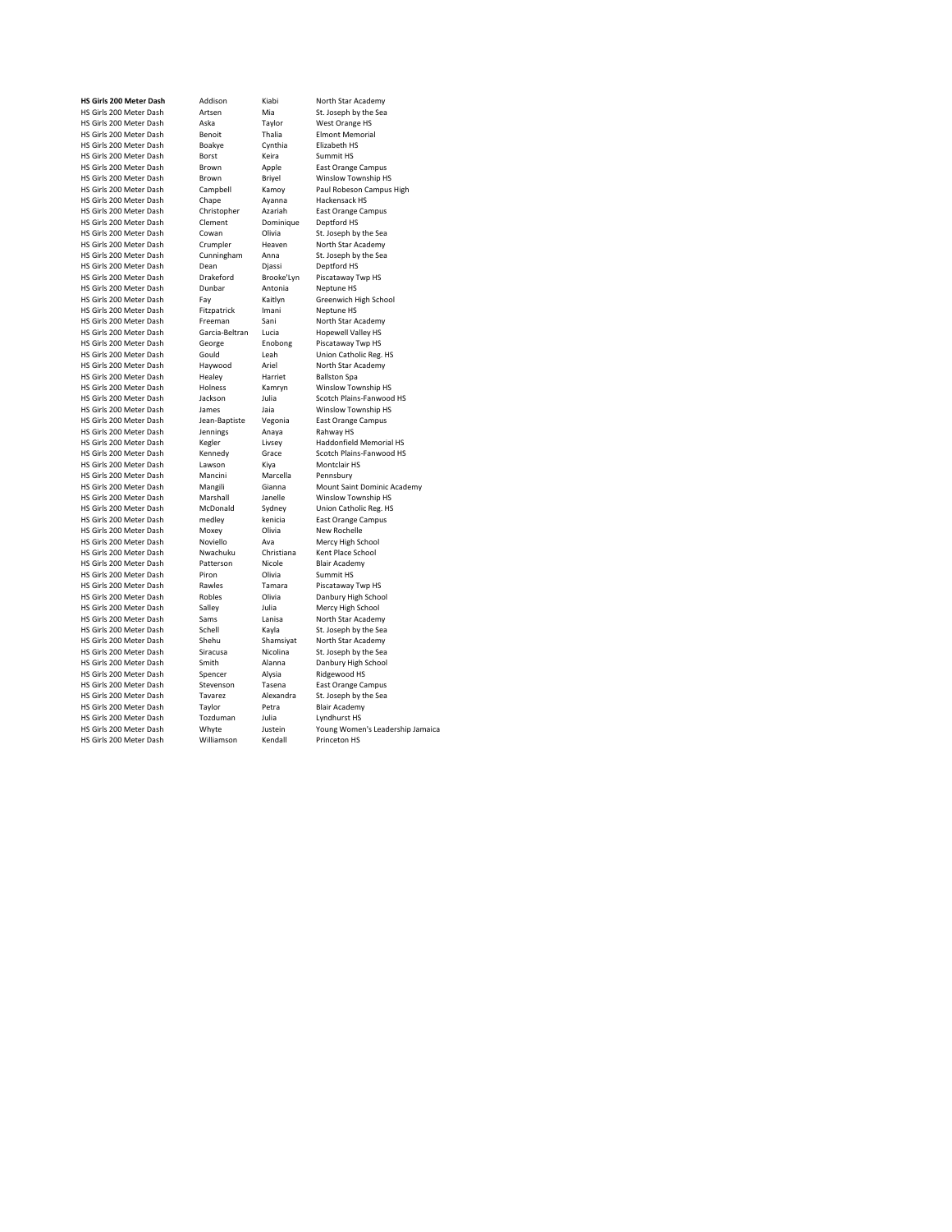HS Girls 200 Meter Dash Borst Keira<br>
HS Girls 200 Meter Dash Borst Keira<br>
HS Girls 200 Meter Dash Brown Apple HS Girls 200 Meter Dash Brown Briyel<br>HS Girls 200 Meter Dash Brown Briyel<br>HS Girls 200 Meter Dash Campbell Kamoy HS Girls 200 Meter Dash Dean Djassi<br>HS Girls 200 Meter Dash Drakeford Brooke'Lyn HS Girls 200 Meter Dash Dunbar Antonia<br>
HS Girls 200 Meter Dash Dunbar Antoni<br>
HS Girls 200 Meter Dash Fay Kaitlyn HS Girls 200 Meter Dash Haywood Ariel<br>
HS Girls 200 Meter Dash Healey Harriet HS Girls 200 Meter Dash Healey Harriet<br>HS Girls 200 Meter Dash Holness Kamrvn HS Girls 200 Meter Dash Kegler Livsey<br>HS Girls 200 Meter Dash Kennedy Grace HS Girls 200 Meter Dash Mancini Marcel<br>HS Girls 200 Meter Dash Mangili Gianna HS Girls 200 Meter Dash McDonald Sydney<br>
HS Girls 200 Meter Dash medlev kenicia HS Girls 200 Meter Dash HS Girls 200 Meter Dash Shehu Shamsiyat Shehu Shamsiyat Shamsiyat Shamsiyat Shamsiyat Shamsiyat North Shamsiyat Shamsiyat Shamsiyat Shamsiyat Shamsiyat Shamsiyat Shamsiyat Shamsiyat Shamsiyat Shamsiyat Shamsiyat Shamsiyat HS Girls 200 Meter Dash Spencer Alysia<br>HS Girls 200 Meter Dash Stevenson Tasena HS Girls 200 Meter Dash Tozduman Julia<br>HS Girls 200 Meter Dash Whyte Justein HS Girls 200 Meter Dash

**HS Girls 200 Meter Dash** Addison Kiabi North Star Academy HS Girls 200 Meter Dash Artsen Mia St. Joseph by the Sea HS Girls 200 Meter Dash Aska Taylor West Orange HS **Benoit** Thalia Elmont Memorial<br>
Roakve Cynthia Flizabeth HS HS Girls 200 Meter Dash Boakye Cynthia Elizabeth HS Brown Apple East Orange Campus<br>
Rrown Brivel Winslow Township HS Campbell Kamoy Paul Robeson Campus High<br>Chape Ayanna Hackensack HS HS Girls 200 Meter Dash Chape Ayanna Hackensack HS HS Girls 200 Meter Dash Christopher Azariah East Orange<br>
HS Girls 200 Meter Dash Clement Dominique Deptford HS HS Girls 200 Meter Dash Clement Dominique Deptford HS<br>
HS Girls 200 Meter Dash Clement Dominique Deptford HS<br>
HS Girls 200 Meter Dash Cowan Olivia St. Joseph by the Sea HS Girls 200 Meter Dash Cowan Olivia St. Joseph by the Sea<br>HS Girls 200 Meter Dash Crumpler Heaven North Star Academy HS Girls 200 Meter Dash Crumpler Heaven North Star Academy<br>
HS Girls 200 Meter Dash Cunningham Anna St. Joseph by the Sea HS Girls 200 Meter Dash Cunningham Anna St. Joseph by the Scirls 200 Meter Dash Dean Djassi Deptford HS HS Girls 200 Meter Dash Drakeford Brooke'Lyn Piscataway Twp HS Homes Company Company<br>
Fay Kaitlyn Greenwich High School<br>
Fitzpatrick Imani Neptune HS HS Girls 200 Meter Dash Fitzpatrick Imani Neptune HS<br>
HS Girls 200 Meter Dash Freeman Sani North Star Academy HS Girls 200 Meter Dash Freeman Sani North Star Academ<br>HS Girls 200 Meter Dash Freeman Sani North Star Academ<br>HS Girls 200 Meter Dash Garcia-Beltran Lucia Hopewell Valley HS HS Girls 200 Meter Dash Garcia-Beltran Lucia Hopewell Valley HS<br>
HS Girls 200 Meter Dash George Enobong Piscataway Twp HS HS Girls 200 Meter Dash George Enobong Piscataway Twp HS<br>HS Girls 200 Meter Dash Gould Leah Union Catholic Reg. HS HS Girls 200 Meter Dash Gould Leah Union Catholic Reg. I<br>HS Girls 200 Meter Dash Haywood Ariel North Star Academy HS Girls 200 Meter Dash Holness<br>
HS Girls 200 Meter Dash Holness Kamryn Winslow Township HS<br>
HS Girls 200 Meter Dash Holness Kamryn Winslow Township HS<br>
HS Girls 200 Meter Dash Jackson Julia Scotch Plains-Fanwood However Hammark Hammark Christmas Jackson<br>Jackson Julia Scotch Plains-Fanwood HS<br>Janes Jaia Winslow Township HS HS Girls 200 Meter Dash James Jaia Winslow Township H<br>HS Girls 200 Meter Dash Jean-Baptiste Vegonia Fast Orange Campus HS Girls 200 Meter Dash Jean-Baptiste Vegonia East Orange<br>HS Girls 200 Meter Dash Jean-Baptiste Vegonia East Orange<br>HS Girls 200 Meter Dash Jennings Anaya Rahway HS HS Girls 200 Meter Dash Jennings Anaya Rahway HS Kennedy Grace Scotch Plains-Fanwood HS<br>Lawson Kiya Montclair HS HS Girls 200 Meter Dash Lawson Care Control Controllair HS Girls 200 Meter Dash Lawson<br>HS Girls 200 Meter Dash Mancini Marcella Pennsbury Mangili Gianna Mount Saint Dominic Academy<br>Marshall Janelle Winslow Township HS HS Girls 200 Meter Dash Marshall Janelle Winslow Township HS medley kenicia East Orange Campus<br>
Moxey Olivia New Rochelle HS Girls 200 Meter Dash Moxey Olivia New Rochelle HS Girls 200 Meter Dash Noviello Ava Mercy High School HS Girls 200 Meter Dash Nwachuku Christiana Kent Place School Nicole<br>HS Girls 200 Meter Dash Patterson Nicole Blair Academy HS Girls 200 Meter Dash Patterson Nicole Blair Academy Scribs 200 Meter Dash Piron Olivia Summit HS HS Girls 200 Meter Dash Piron Divia Summit HS<br>
HS Girls 200 Meter Dash Piron Olivia Summit HS<br>
HS Girls 200 Meter Dash Rawles Tamara Piscataway Twp HS HS Girls 200 Meter Dash Robles Divia Danbury High School<br>HS Girls 200 Meter Dash Salley Julia Mercy High School HS Girls 200 Meter Dash Salley Julia Mercy High School<br>HS Girls 200 Meter Dash Sams Janisa North Star Academy HS Girls 200 Meter Dash Sams Lanisa North Star Academy<br>
HS Girls 200 Meter Dash Schell Kavla St. Joseph by the Sea HS Girls 200 Meter Dash Schell Schell Kayla St. Joseph by the Sea<br>HS Girls 200 Meter Dash Shehu Shamsiyat North Star Academy HS Girls 200 Meter Dash Siracusa Nicolina St. Joseph by the Sea<br>
HS Girls 200 Meter Dash Smith Alanna Danbury High School Smith Alanna Danbury High School<br>Spencer Alysia Ridgewood HS HS Girls 200 Meter Dash Stevenson Tasena East Orange Campus<br>HS Girls 200 Meter Dash Tayarez Alexandra St Joseph by the Sea HS Girls 200 Meter Dash Taylor Petra Blair Academy Whyte Justein Young Women's Leadership Jamaica<br>Williamson Kendall Princeton HS

Alexandra St. Joseph by the Sea<br>Petra Blair Academy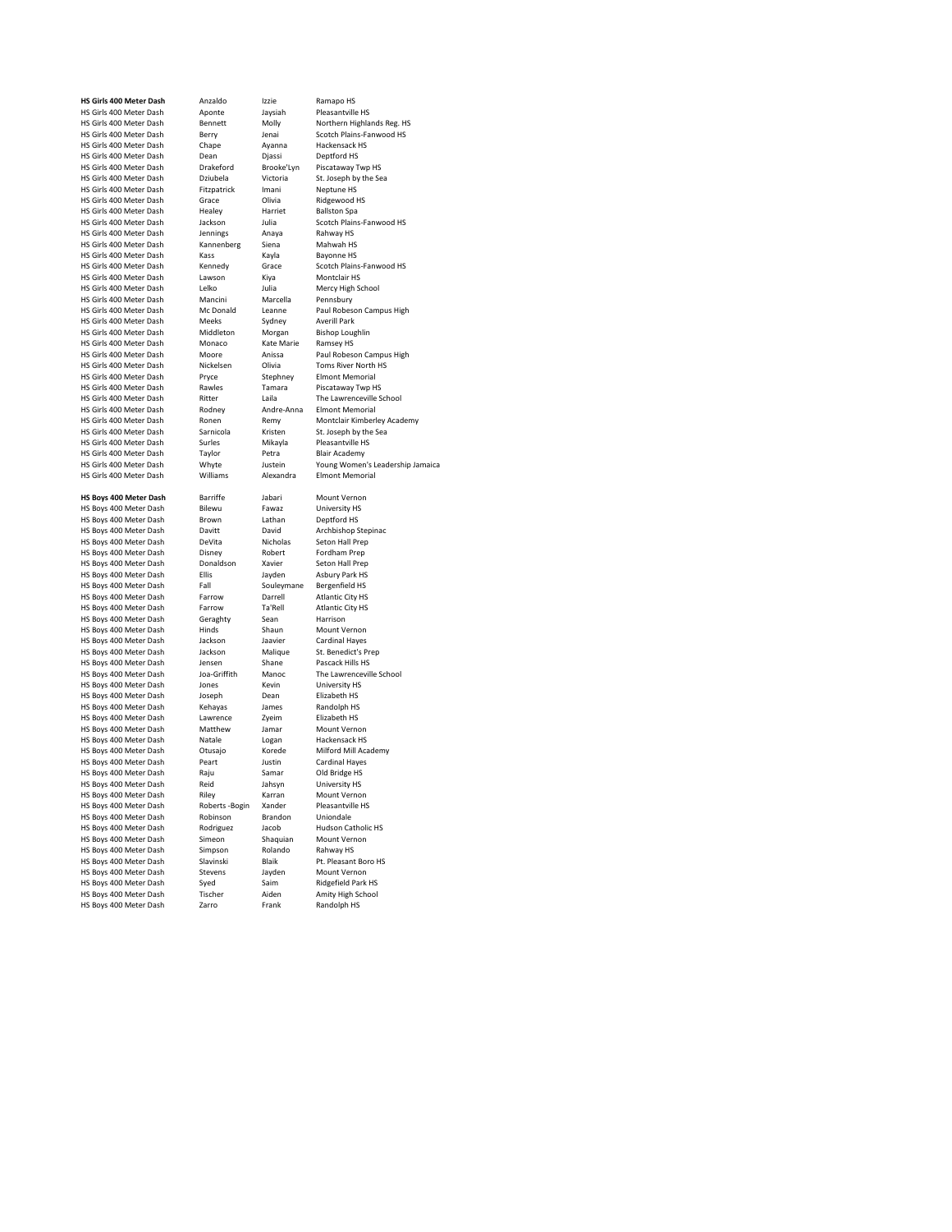HS Girls 400 Meter Dash Aponte Jaysia<br>HS Girls 400 Meter Dash Bennett Molly HS Girls 400 Meter Dash Dean Dean Diassi<br>HS Girls 400 Meter Dash Dean Diassi<br>HS Girls 400 Meter Dash Drakeford Brooke'Lyn HS Girls 400 Meter Dash Fitzpatrick Imani<br>
HS Girls 400 Meter Dash Fitzpatrick Imani<br>
HS Girls 400 Meter Dash Grace Olivia HS Girls 400 Meter Dash Healey Harr<br>HS Girls 400 Meter Dash Jackson Julia HS Girls 400 Meter Dash Kass Kayla<br>
HS Girls 400 Meter Dash Kennedy Grace HS Girls 400 Meter Dash Mancini Marcell<br>HS Girls 400 Meter Dash Mancini Marcell<br>HS Girls 400 Meter Dash Mc Donald Leanne HS Girls 400 Meter Dash<br>HS Girls 400 Meter Dash HS Girls 400 Meter Dash Rawles Tama<br>HS Girls 400 Meter Dash Ritter Laila HS Girls 400 Meter Dash Rodney Andre-Anna Elmont Memorial HS Girls 400 Meter Dash Taylor Petra<br>
HS Girls 400 Meter Dash Whyte Justein HS Girls 400 Meter Dash HS Boys 400 Meter Dash HS Boys 400 Meter Dash HS Boys 400 Meter Dash

**HS Girls 400 Meter Dash** Anzaldo Izzie Ramapo HS<br> **HS Girls 400 Meter Dash Aponte** Javsiah Pleasantville HS HS Girls 400 Meter Dash Bennett Molly Northern Highlands Reg. HS Berry Jenai Scotch Plains-Fanwood HS<br>Chane Avanna Hackensack HS HS Girls 400 Meter Dash Chape Ayanna Hackensack HS Girls 400 Meter Dash Dean Djassi Deptford HS Drakeford Brooke'Lyn Piscataway Twp HS<br>Dziubela Victoria St Joseph by the Sea HS Girls 400 Meter Dash Dziubela Victoria St. Joseph by the Sirls 400 Meter Dash Dziubela Victoria St. Joseph b<br>HS Girls 400 Meter Dash Fitzpatrick Imani Neptune HS Sace Clivia Ridgewood HS<br>
Healey Harriet Ballston Spa Hackson Harricch Banscon Public<br>Jackson Julia Scotch Plains-Fanwood HS<br>Jennings Anaya Rahway HS HS Girls 400 Meter Dash Jennings Anaya Rahway HS HS Girls 400 Meter Dash Kannenberg Siena Mahwah HS Kennedy Grace Scotch Plains-Fanwood HS<br>
Lawson Kiya Montclair HS HS Girls 400 Meter Dash Lawson Kiya Montclair HS<br>HS Girls 400 Meter Dash Lelko Julia Mercy High School HS Girls 400 Meter Dash Lelko Julia Mercy High School Alex High School Alex High School Alex High School Alex Marcella Leanne Paul Robeson Campus High<br>Sydney Averill Park HS Girls 400 Meter Dash Meeks Sydney Averill Park HS Girls 400 Meter Dash Middleton Morgan Bishop Lought HS Girls 400 Meter Dash Monaco Kate Marie Ramsey HS HS Girls 400 Meter Dash Moore Anissa Paul Robeson Campus High<br>
HS Girls 400 Meter Dash Nickelsen Olivia Toms River North HS Nickelsen Olivia Toms River North HS<br>
Pryce Stephney Elmont Memorial HS Girls 400 Meter Dash Pryce Stephney Elmont Memorial<br>HS Girls 400 Meter Dash Rawles Tamara Piscataway Two HS Howes<br>
Ritter Laila The Lawrenceville School<br>
Rodney Andre-Anna Elmont Memorial Ronen Hemy Montclair Kimberley Academy<br>Sarnicola Kristen St. Joseph by the Sea HS Girls 400 Meter Dash Sarnicola Kristen St. Joseph by the Scribs Associated St. Joseph by the Sarnicola Surles HS Girls 400 Meter Dash Surles Mikayla Pleasantville HS Girls 400 Meter Dash Taylor Petra Blair Academy whyte Justein Young Women's Leadership Jamaica<br>
Williams Alexandra Elmont Memorial **HS Boys 400 Meter Dash** Barriffe Jabari Mount Vernon<br>**HS Boys 400 Meter Dash Bilewu** Fawaz University HS HS Boys 400 Meter Dash Bilewu Fawaz University HS HS Boys 400 Meter Dash Brown Lathan Deptford HS<br>
HS Boys 400 Meter Dash Davitt David Archbishop Stepinac HS Boys 400 Meter Dash Davitt David Archbishop Step<br>HS Boys 400 Meter Dash DeVita Nicholas Seton Hall Prep HS Boys 400 Meter Dash DeVita Nicholas Seton Hall Pre<br>
HS Boys 400 Meter Dash Disney Robert Fordham Prep HS Boys 400 Meter Dash Disney Robert Fordham Prep<br>
HS Boys 400 Meter Dash Donaldson Xavier Seton Hall Prep HS Boys 400 Meter Dash Donaldson Xavier Seton Hall Prep HS Boys 400 Meter Dash Ellis Boys 400 Meter Dash Ellis Jayden Asbury Park HS<br>HS Boys 400 Meter Dash Ellis Jayden Asbury Park HS HS Boys 400 Meter Dash Farrow Darrell Atlantic City HS<br>
HS Boys 400 Meter Dash Farrow Ta'Rell Atlantic City HS external terms of the contract of the contract of the method of the HS Boys 400 Meter Dash Farrow Ta'Rell Atlantic City Harrison HS Boys 400 Meter Dash Geraghty Sean Harrison<br>
HS Boys 400 Meter Dash Hinds Shaun Mount Vernon HS Boys 400 Meter Dash Hinds Shaun Mount Vernon<br>HS Boys 400 Meter Dash Jackson Jaavier Cardinal Hayes All the term of the term of the term of the Hayes<br>HS Boys 400 Meter Dash Jackson Jaavier Cardinal Hayes<br>HS Boys 400 Meter Dash Jackson Malique St. Benedict's Prep HS Boys 400 Meter Dash Jackson Malique St. Benedict's Prepared Article St. Benedict's Prepared United States C<br>HS Boys 400 Meter Dash Jensen Shane Pascack Hills HS HS Boys 400 Meter Dash Jensen Shane Pascack Hills HS<br>
HS Boys 400 Meter Dash Joa-Griffith Manoc The Lawrenceville School HS Boys 400 Meter Dash Joa-Griffith Manoc The Lawrence<br>HS Boys 400 Meter Dash Jones Kevin University HS HS Boys 400 Meter Dash Jones Kevin University HS<br>HS Boys 400 Meter Dash Joseph Dean Elizabeth HS HS Boys 400 Meter Dash Joseph Dean Elizabeth HS<br>HS Boys 400 Meter Dash Kehayas James Randolph HS HS Boys 400 Meter Dash Kehayas James Randolph HS HS Boys 400 Meter Dash Lawrence Zyeim Elizabeth HS HS Boys 400 Meter Dash Matthew Jamar Mount Vernon HS Boys To The Hotel Constitution of Hackensack HS<br>HS Boys 400 Meter Dash Natale Logan Hackensack HS<br>HS Boys 400 Meter Dash Otusajo Korede Milford Mill Academy HS Boys 400 Meter Dash Otusajo Korede Milford Mill Academy Shows 400 Meter Dash Peart Iustin Cardinal Haves HS Boys 400 Meter Dash Peart Justin Cardinal Haye<br>
HS Boys 400 Meter Dash Raiu Samar Old Bridge HS HS Boys 400 Meter Dash The Capital Camar Cold Bridge HS<br>HS Boys 400 Meter Dash Raju Samar Old Bridge HS<br>HS Boys 400 Meter Dash Reid Jahsyn University HS HS Boys 400 Meter Dash Reid Jahsyn University HS HS Boys 400 Meter Dash Riley Riley Karran Mount Vernon<br>
HS Boys 400 Meter Dash Roberts - Bogin Xander Pleasantville HS HS Boys 400 Meter Dash Roberts -Bogin Xander Pleasantvil<br>HS Boys 400 Meter Dash Robinson Brandon Uniondale HS Boys 400 Meter Dash Robinson Brandon Uniondale<br>
HS Boys 400 Meter Dash Rodriguez Jacob Hudson Catholic HS HS Boys 400 Meter Dash Rodriguez Jacob Hudson Cathol<br>
HS Boys 400 Meter Dash Simeon Shaquian Mount Vernon HS Boys 400 Meter Dash Simeon Shaquian Mount Vernon<br>
HS Boys 400 Meter Dash Simpson Rolando Rahway HS HS Boys 400 Meter Dash Simpson Rolando Rahway HS HS Boys 400 Meter Dash Stevens Jayden Mount Vernon<br>
HS Boys 400 Meter Dash Syed Saim Ridgefield Park HS extract the structure of the structure of the Saim Ridgefield Park HS<br>HS Boys 400 Meter Dash Tischer Aiden Amity High School HS Boys 400 Meter Dash Zarro Frank Randolph HS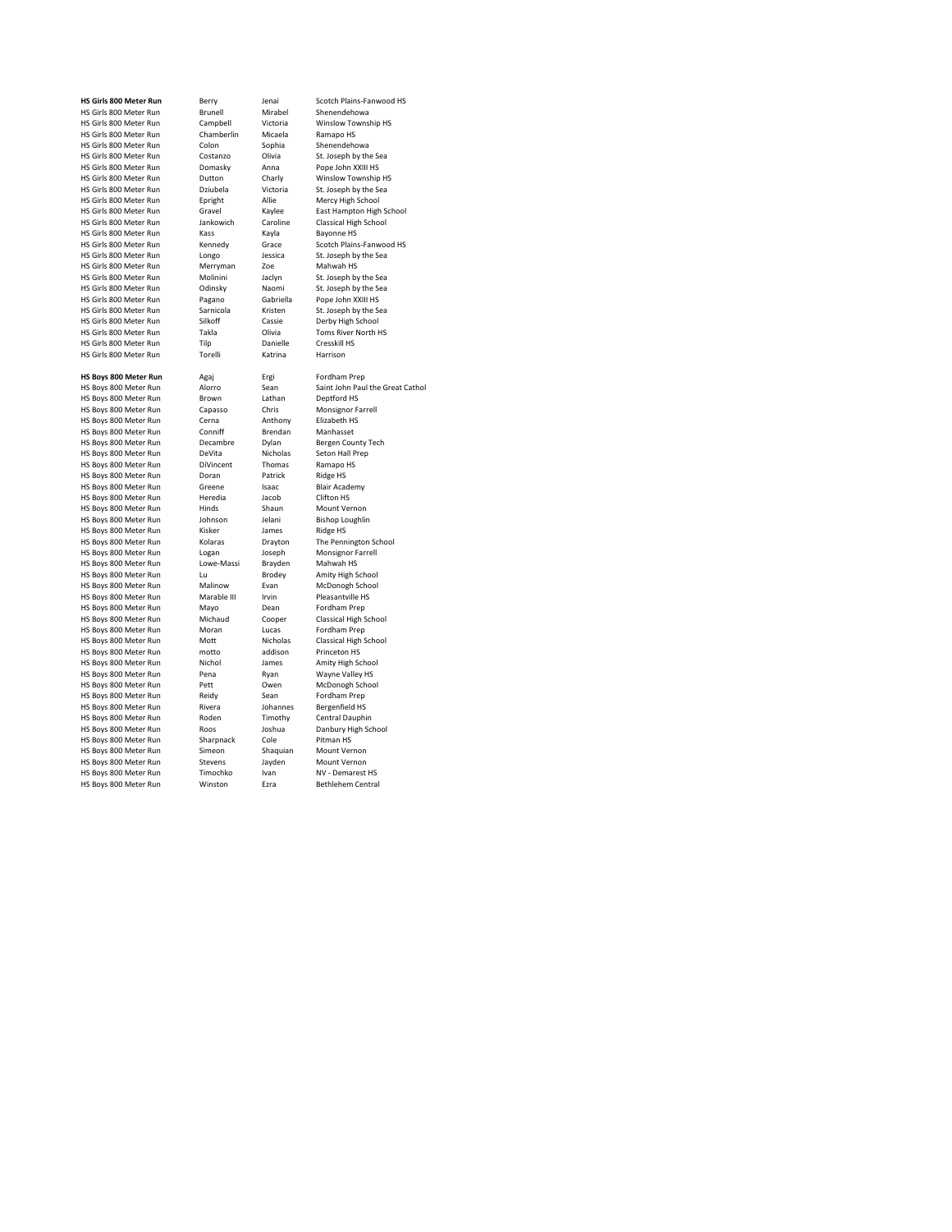| <b>HS Girls 800 Meter Run</b> | Berry           | lenai       | Scotch Plains-Fanwood HS         |
|-------------------------------|-----------------|-------------|----------------------------------|
| HS Girls 800 Meter Run        | Brunell         | Mirabel     | Shenendehowa                     |
| HS Girls 800 Meter Run        | Campbell        | Victoria    | Winslow Township HS              |
| HS Girls 800 Meter Run        | Chamberlin      | Micaela     | Ramapo HS                        |
| HS Girls 800 Meter Run        | Colon           | Sophia      | Shenendehowa                     |
| HS Girls 800 Meter Run        | Costanzo        | Olivia      | St. Joseph by the Sea            |
| HS Girls 800 Meter Run        | Domasky         | Anna        | Pope John XXIII HS               |
| HS Girls 800 Meter Run        | Dutton          | Charly      | Winslow Township HS              |
| HS Girls 800 Meter Run        | Dziubela        | Victoria    | St. Joseph by the Sea            |
| HS Girls 800 Meter Run        | Epright         | Allie       | Mercy High School                |
| HS Girls 800 Meter Run        | Gravel          | Kaylee      | East Hampton High School         |
| HS Girls 800 Meter Run        | Jankowich       | Caroline    | Classical High School            |
| HS Girls 800 Meter Run        | Kass            | Kayla       | <b>Bayonne HS</b>                |
| HS Girls 800 Meter Run        | Kennedy         | Grace       | Scotch Plains-Fanwood HS         |
| HS Girls 800 Meter Run        | Longo           | Jessica     | St. Joseph by the Sea            |
| HS Girls 800 Meter Run        | Merryman        | Zoe         | Mahwah HS                        |
| HS Girls 800 Meter Run        | Molinini        | Jaclyn      | St. Joseph by the Sea            |
| HS Girls 800 Meter Run        | Odinsky         | Naomi       | St. Joseph by the Sea            |
| HS Girls 800 Meter Run        | Pagano          | Gabriella   | Pope John XXIII HS               |
| HS Girls 800 Meter Run        | Sarnicola       | Kristen     | St. Joseph by the Sea            |
| HS Girls 800 Meter Run        | Silkoff         | Cassie      | Derby High School                |
| HS Girls 800 Meter Run        | Takla           | Olivia      | Toms River North HS              |
| HS Girls 800 Meter Run        | Tiln            | Danielle    | Cresskill HS                     |
| HS Girls 800 Meter Run        | Torelli         | Katrina     | Harrison                         |
|                               |                 |             |                                  |
| <b>HS Boys 800 Meter Run</b>  | Agaj            | Ergi        | Fordham Prep                     |
| HS Boys 800 Meter Run         | Alorro          | Sean        | Saint John Paul the Great Cathol |
| HS Boys 800 Meter Run         | Brown           | Lathan      | Deptford HS                      |
| HS Boys 800 Meter Run         | Capasso         | Chris       | Monsignor Farrell                |
| HS Boys 800 Meter Run         | Cerna           | Anthony     | Elizabeth HS                     |
| HS Boys 800 Meter Run         | Conniff         | Brendan     | Manhasset                        |
| HS Boys 800 Meter Run         | Decambre        | Dylan       | Bergen County Tech               |
| HS Boys 800 Meter Run         | DeVita          | Nicholas    | Seton Hall Prep                  |
| HS Boys 800 Meter Run         | DiVincent       | Thomas      | Ramapo HS                        |
| HS Boys 800 Meter Run         | Doran           | Patrick     | <b>Ridge HS</b>                  |
| HS Boys 800 Meter Run         | Greene          | Isaac       | <b>Blair Academy</b>             |
| HS Boys 800 Meter Run         | Heredia         | Jacob       | Clifton HS                       |
| HS Boys 800 Meter Run         | Hinds           | Shaun       | Mount Vernon                     |
| HS Boys 800 Meter Run         | Johnson         | Jelani      | <b>Bishop Loughlin</b>           |
| HS Boys 800 Meter Run         | Kisker          | James       | Ridge HS                         |
| HS Boys 800 Meter Run         | Kolaras         | Drayton     | The Pennington School            |
| HS Boys 800 Meter Run         | Logan           | Joseph      | Monsignor Farrell                |
| HS Boys 800 Meter Run         | Lowe-Massi      | Brayden     | Mahwah HS                        |
| HS Boys 800 Meter Run         | Tυ              | Brodey      | Amity High School                |
| HS Boys 800 Meter Run         | Malinow         | Evan        | McDonogh School                  |
| HS Boys 800 Meter Run         | Marable III     | Irvin       | Pleasantville HS                 |
| HS Boys 800 Meter Run         | Mayo            | Dean        | Fordham Prep                     |
| HS Boys 800 Meter Run         | Michaud         | Cooper      | Classical High School            |
| HS Boys 800 Meter Run         | Moran           | Lucas       | Fordham Prep                     |
| HS Boys 800 Meter Run         | Mott            | Nicholas    | Classical High School            |
|                               |                 | addison     |                                  |
| HS Boys 800 Meter Run         | motto<br>Nichol |             | Princeton HS                     |
| HS Boys 800 Meter Run         |                 | James       | Amity High School                |
| HS Boys 800 Meter Run         | Pena            | Ryan        | Wayne Valley HS                  |
| HS Boys 800 Meter Run         | Pett            | Owen        | McDonogh School                  |
| HS Boys 800 Meter Run         | Reidy           | Sean        | Fordham Prep                     |
| HS Boys 800 Meter Run         | Rivera          | Johannes    | Bergenfield HS                   |
| HS Boys 800 Meter Run         | Roden           | Timothy     | Central Dauphin                  |
| HS Boys 800 Meter Run         | Roos            | Joshua      | Danbury High School              |
| HS Boys 800 Meter Run         | Sharpnack       | Cole        | Pitman HS                        |
| HS Boys 800 Meter Run         | Simeon          | Shaquian    | Mount Vernon                     |
| HS Boys 800 Meter Run         | Stevens         | Jayden      | Mount Vernon                     |
| HS Boys 800 Meter Run         | Timochko        | Ivan        | NV - Demarest HS                 |
| HS Boys 800 Meter Run         | Winston         | <b>Fzra</b> | Bethlehem Central                |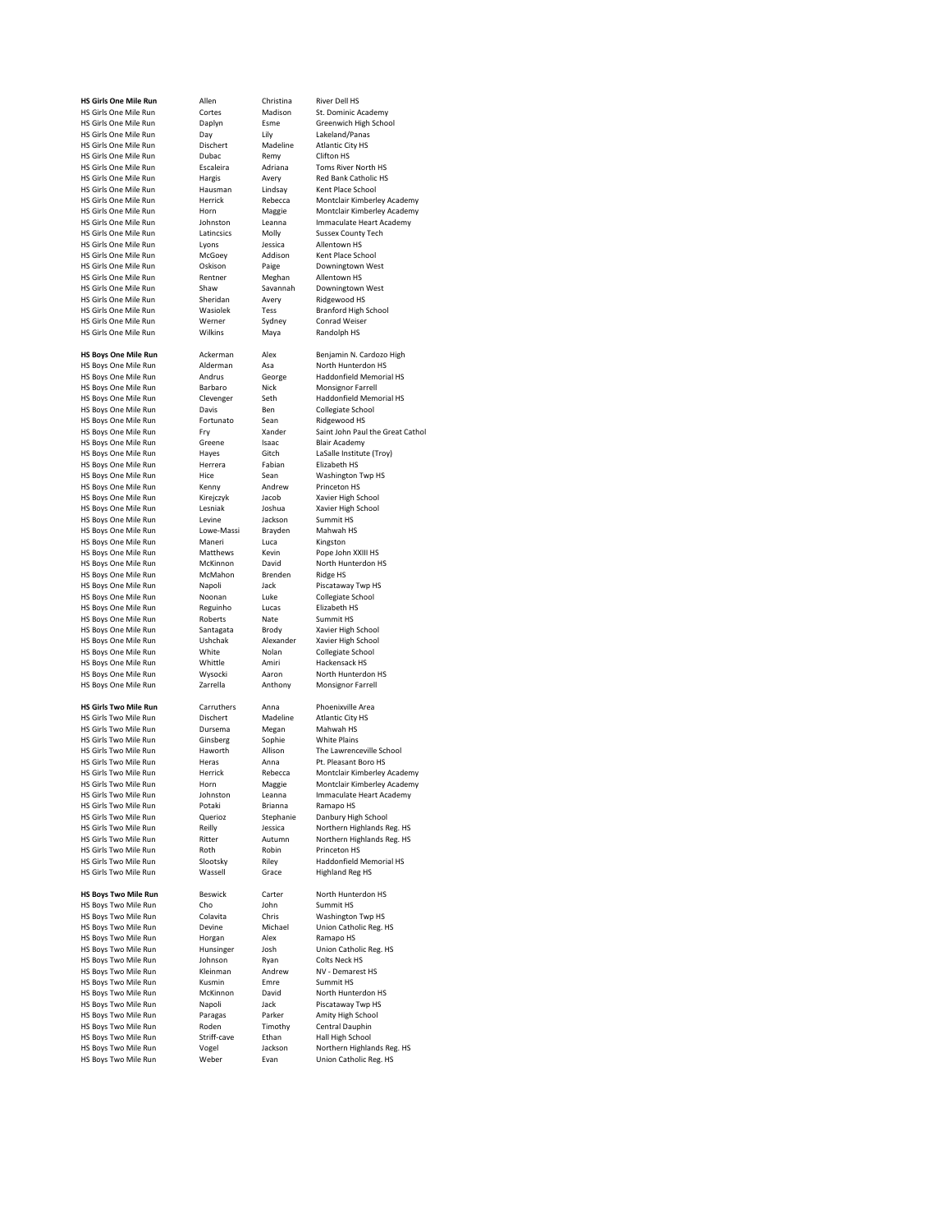HS Girls One Mile Run Cortes Madi<br>
HS Girls One Mile Run Daplyn Esme HS Girls One Mile Run Escaleira Adrian<br>HS Girls One Mile Run Hargis Avery HS Girls One Mile Run Hausmann Linds<br>Hausmann Hausmann Hausmann Lindsay<br>Represent Popperside HS Girls One Mile Run McGoey Addis<br>HS Girls One Mile Run McGoey Baige HS Girls One Mile Run Shaw Savan<br>
HS Girls One Mile Run Sheridan Avery HS Girls One Mile Run HS Boys One Mile Run Barbaro Nick<br>
HS Boys One Mile Run Clevenger Seth HS Boys One Mile Run Fortunato<br>
HS Boys One Mile Run Fortunato Sean<br>
HS Boys One Mile Run Fry Xander HS Boys One Mile Run HS Girls Two Mile Run Ginsberg Sophie<br>
HS Girls Two Mile Run Haworth Allison HS Girls Two Mile Run Heras Anna Anna Anna Parasant Boro Herasant Boro Anna Pelecca<br>Para Perrick Rebecca HS Girls Two Mile Run Querioz Stephanie Danis Girls Two Mile Run Reilly School School

**HS Girls One Mile Run** Allen Christina River Dell HS<br>
HS Girls One Mile Run Cortes Madison St. Dominic Academy Example The Communication of the Daplyn Esme Greenwich High School<br>
Day Hily Lakeland/Panas<br>
Dischert Madeline Atlantic City HS end Cirls One Mile Run Lily Lakeland/Panas<br>
HS Girls One Mile Run Dischert Madeline Atlantic City HS HS Girls One Mile Run Dischert Madeline Atlantic City City Atlantic City Dischert Madeline Atlantic City HS City HS Dubac Remy Clifton HS HS Girls One Mile Run Dubac Remy Clifton HS<br>
HS Girls One Mile Run Dubac Remy Clifton HS<br>
HS Girls One Mile Run Fscaleira Adriana Toms River North HS Hargis Avery Red Bank Catholic HS<br>
Hausman Lindsay Kent Place School HS Girls One Mile Run **Herrick Herrick Rebecca** Montclair Kimberley Academy<br>HS Girls One Mile Run Horn Maggie Montclair Kimberley Academy HS Girls One Mile Run Horn Maggie Montclair Kimberley Academy<br>HS Girls One Mile Run Johnston Leanna Immaculate Heart Academy Home Hange Homelan Kinderly Academy<br>
Lohnston Leanna Immaculate Heart Academy<br>
Latincsics Molly Sussex County Tech HS Girls One Mile Run Latincsics Molly Sussex County<br>
HS Girls One Mile Run Lyons Lessica Allentown HS HS Girls One Mile Run Lyons Lyons Jessica Allentown HS<br>
HS Girls One Mile Run McGoey Addison Kent Place School Oskison Paige Downingtown West<br>
Rentner Meghan Allentown HS HS Girls One Mile Run and Rentner Meghan Allentown HS<br>
HS Girls One Mile Run Shaw Savannah Downingtown West HS Girls One Mile Run Sheridan Avery Ridgewood HS Wasiolek Tess Branford High School<br>Werner Sydney Conrad Weiser HS Girls One Mile Run Werner Hotels Conrad Weiser<br>HS Girls One Mile Run Werner Mydney Conrad Weiser<br>HS Girls One Mile Run Wilkins Maya Randolph HS **HS Boys One Mile Run** Ackerman Alex Benjamin N. Cardozo High<br>
HS Boys One Mile Run Alderman Asa North Hunterdon HS Alderman Asa - North Hunterdon HS<br>
HS Boys One Mile Run - Alderman Asa - North Hunterdon HS<br>
HS Boys One Mile Run - Andrus - George - Haddonfield Memorial HS HS Boys One Mile Run Andrus George Haddonfield Memorial Andrus<br>HS Boys One Mile Run Barbaro Nick Monsignor Farrell Entertainment of the military<br>Clevenger Seth Haddonfield Memorial HS<br>Davis Ben Collegiate School HS Boys One Mile Run Davis Ben Collegiate School Barry Collegiate School Barry Davis Ben Collegiate School Barry Collegiate School Barry Barry Barry Barry Barry Barry Barry Barry Barry Barry Barry Barry Barry Barry Barry B Hermann Holland Holland Holland Holland Ery<br>
Hy Xander Saint John Paul the Great Cathol<br>
Greene Isaac Blair Academy HS Boys One Mile Run Greene Isaac Blair Academy<br>
HS Boys One Mile Run Haves Gitch LaSalle Institute (Trov) HS Boys One Mile Run Hayes Gitch LaSalle Institute Consumers Consumers Consumers Consumers Consumers Consumer<br>Herrera Habian Elizabeth HS HS Boys One Mile Run Herrera Habian Elizabeth HS<br>
HS Boys One Mile Run Herrera Fabian Elizabeth HS<br>
HS Boys One Mile Run Hice Sean Washington Twp HS HS Boys One Mile Run Hice Sean Washington The Boys One Mile Run Hice Sean Washington The Muslim The Muslim Te<br>HS Boys One Mile Run Kenny Andrew Princeton HS HS Boys One Mile Run Kenny Andrew Princeton HS<br>
HS Boys One Mile Run Kirejczyk Jacob Xavier High School HS Boys One Mile Run Kirejczyk Jacob Xavier High School HS Boys One Mile Run Lesniak Joshua Xavier High School HS Boys One Mile Run Levine Jackson Summit HS<br>
HS Boys One Mile Run Lowe-Massi Brayden Mahwah HS HS Boys One Mile Run Lowe-Massi Brayden Mahwah<br>HS Boys One Mile Run Maneri Luca Kingston HS Boys One Mile Run Maneri Luca Kingston<br>
HS Boys One Mile Run Matthews Kevin Pope John XXIII HS HS Boys One Mile Run Matthews Kevin Pope John XXIII HS<br>HS Boys One Mile Run McKinnon David North Hunterdon HS HS Boys One Mile Run McKinnon David North Hunter<br>HS Boys One Mile Run McKinnon David North Hunter<br>HS Boys One Mile Run McMahon Brenden Ridge HS HS Boys One Mile Run McMahon Brenden Ridge HS<br>HS Boys One Mile Run Nanoli Jack Piscataway Two HS HS Boys One Mile Run Mapoli and Jack Piscataway Twp HS Boys One Mile Run Noonan Luke Collegiate School HS Boys One Mile Run Noonan Luke Collegiate School and Reguinho Lucas Elizabeth HS HS Boys One Mile Run Reguinho Lucas Elizabeth HS Boys One Mile Run Reguinho Lucas Elizabeth HS<br>HS Boys One Mile Run Roberts Nate Summit HS HS Boys One Mile Run Roberts Nate Summit HS<br>HS Boys One Mile Run Santagata Brody Xavier High School HS Boys One Mile Run Santagata Brody Xavier High School<br>HS Boys One Mile Run Ushchak Alexander Xavier High School Example and the temperature of the Machine High School<br>HS Boys One Mile Run Ushchak Alexander Xavier High School<br>HS Boys One Mile Run White Nolan Collegiate School HS Boys One Mile Run Mile White Nolan Collegiate School Collegiate School Collegiate School Collegiate School<br>HS Boys One Mile Run Whittle Amiri Hackensack HS HS Boys One Mile Run Whittle Amiri Hackensack HS HS Boys One Mile Run Mysocki Aaron North Hunterdon<br>
HS Boys One Mile Run Zarrella Anthony Monsignor Farrell **HS Girls Two Mile Run** Carruthers Anna Phoenixville Area<br> **HS Girls Two Mile Run** Dischert Madeline Atlantic City HS HS Girls Two Mile Run **Dischert** Madeline Atlantic City HS Girls Two Mile Run Dursema Meean Mahwah HS HS Girls Two Mile Run Dursema Megan Mahwah HS<br>HS Girls Two Mile Run Ginsberg Sophie White Plains Haworth Allison The Lawrenceville School<br>
Heras Anna Pt. Pleasant Boro HS HS Girls Two Mile Run Herrick Rebecca Montclair Kimberley Academy HS Girls Two Mile Run Horn Maggie Montclair Kimberley Academy<br>HS Girls Two Mile Run Johnston Leanna Immaculate Heart Academy Johnston Leanna Immaculate Heart Academy<br>Potaki - Brianna - Ramano HS HS Girls Two Mile Run **Potaki** Brianna Ramapo HS (Girls Two Mile Run Potaki Brianna Ramapo HS Choo HS Girls Two Mile Run Reilly Jessica Northern Highlands Reg. HS HS Girls Two Mile Run Ritter Autumn Northern Highlands Reg. HS HS Girls Two Mile Run Roth Robin Princeton HS Haddonfield Memorial HS<br>Highland Reg HS HS Girls Two Mile Run Wassell Grace **HS Boys Two Mile Run** Beswick Carter North Hunterdon HS HS Boys Two Mile Run Cho Cho John Summit HS<br>
HS Boys Two Mile Run Colavita Chris Washington Twp HS HS Boys Two Mile Run Colavita Chris<br>
HS Boys Two Mile Run Devine Michae **Devine** Michael Union Catholic Reg. HS<br>
Horgan Alex Ramano HS HS Boys Two Mile Run Horgan<br>
HS Boys Two Mile Run Hunsinger Hunsinger Josh Union Catholic Reg. HS<br>Johnson Ryan Colts Neck HS HS Boys Two Mile Run Johnson Ryan Colts Neck HS<br>HS Roys Two Mile Run Kleinman Andrew NV - Demarest HS HS Boys Two Mile Run Kleinman Andrew NV - Demar<br>
HS Boys Two Mile Run Kusmin Emre Summit HS HS Boys Two Mile Run Kusmin Emre Summit HS<br>
HS Boys Two Mile Run McKinnon David North Hunterdon HS HS Boys Two Mile Run McKinnon David North Hunterdon HS HS Boys Two Mile Run Mapoli Jack Piscataway Twp HS<br>
HS Boys Two Mile Run Paragas Parker Amity High School HS Boys Two Mile Run Paragas Parker Amity High School Parker Amity High School Parker Amity High School Parker Amity High School HS Boys Two Mile Run Roden Timother Roden Timother Channel David Runder<br>HS Boys Two Mile Run Striff-cave Ethan HS Boys Two Mile Run Striff-cave Ethan Hall High School<br>
HS Boys Two Mile Run Striff-cave Jackson Northern Highla HS Boys Two Mile Run Vogel Jackson Northern Highlands Reg. HS<br>HS Boys Two Mile Run Weber Evan Union Catholic Reg. HS Union Catholic Reg. HS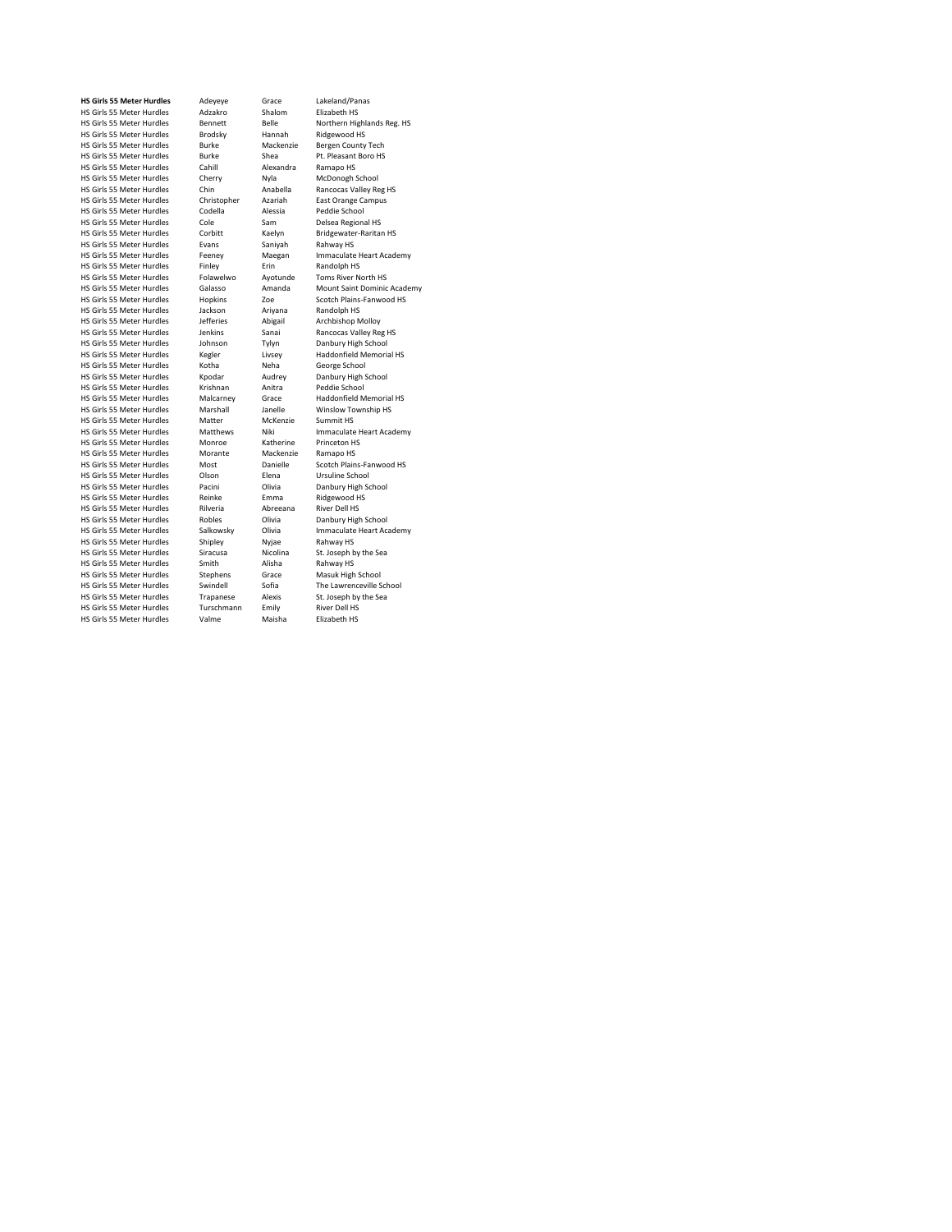HS Girls 55 Meter Hurdles Chin Anabella<br>
HS Girls 55 Meter Hurdles Christopher Azariah<br>
Christopher Azariah HS Girls 55 Meter Hurdles Evans Saniyah Burgan Saniyah Rahway HS Girls 55 Meter Hurdles Feeney HS Girls 55 Meter Hurdles Folawelwo Ayotunden<br>The Girls 55 Meter Hurdles Galasso Amanda HS Girls 55 Meter Hurdles Jenkins Sanai<br>
HS Girls 55 Meter Hurdles Johnson Tylyn HS Girls 55 Meter Hurdles Krishnan Anitra<br>Pedicis Stater Hurdles Malcarney Grace HS Girls 55 Meter Hurdles<br>
HS Girls 55 Meter Hurdles<br>
HS Girls 55 Meter Hurdles<br>
Matthews Niki HS Girls 55 Meter Hurdles Morante Macken:<br>HS Girls 55 Meter Hurdles Most Danielle HS Girls 55 Meter Hurdles Olson Elena<br>HS Girls 55 Meter Hurdles Pacini Olivia HS Girls 55 Meter Hurdles Rilveria Abree<br>
HS Girls 55 Meter Hurdles Robles Olivia HS Girls 55 Meter Hurdles Shipley Nyjae<br>HS Girls 55 Meter Hurdles Siracusa Nicolina HS Girls 55 Meter Hurdles Stephens Grace<br>HS Girls 55 Meter Hurdles Stephens Grace<br>HS Girls 55 Meter Hurdles Swindell Sofia HS Girls 55 Meter Hurdles

**HS Girls 55 Meter Hurdles** Adeyeye Grace Lakeland/Panas HS Girls 55 Meter Hurdles Adzakro Shalom Elizabeth HS HS Girls 55 Meter Hurdles and Bennett Belle Belle Northern Highlands Reg. HS<br>
HS Girls 55 Meter Hurdles Brodsky Hannah Ridgewood HS HS Girls 55 Meter Hurdles Brodsky Hannah Ridgewood HS<br>HS Girls 55 Meter Hurdles Burke Mackenzie Bergen County Tech HS Girls 55 Meter Hurdles Burke Mackenzie Bergen County Tech HS Girls 55 Meter Hurdles and Boro Burney Hurdles HS Shea Pt. Pleasant<br>HS Girls 55 Meter Hurdles Burke Shea Pt. Pleasant<br>HS Girls 55 Meter Hurdles Cahill Alexandra Ramapo HS HS Girls 55 Meter Hurdles Cahill Alexandra Ramapo HS<br>HS Girls 55 Meter Hurdles Cherry Nyla McDonogh School HS Girls 55 Meter Hurdles Cherry Nyla McDonogh School<br>HS Girls 55 Meter Hurdles Cherry Nyla McDonogh School<br>HS Girls 55 Meter Hurdles Chin Anabella Rancocas Valley Reg HS Christopher Azariah East Orange Campus<br>Codella Alessia Peddie School HS Girls 55 Meter Hurdles Codella Alessia Peddie School<br>HS Girls 55 Meter Hurdles Cole Sam Delsea Regional HS HS Girls 55 Meter Hurdles Cole Cole Sam Delsea Regional HS<br>HS Girls 55 Meter Hurdles Cole Sam Delsea Regional HS<br>HS Girls 55 Meter Hurdles Corbitt Kaelyn Bridgewater-Raritan HS HS Girls 55 Meter Hurdles Corbitt Kaelyn Bridgewater<br>HS Girls 55 Meter Hurdles Evans Saniyah Rahway HS Feeney Maegan Immaculate Heart Academy<br>Finley Frin Randolph HS HS Girls 55 Meter Hurdles Finley Erin Randolph HS<br>
HS Girls 55 Meter Hurdles Folawelwo Ayotunde Toms River North HS HS Girls 55 Meter Hurdles Galasso Amanda Mount Saint Dominic Academy Hopkins The Scotch Plains-Fanwood HS<br>
Jackson Ariyana Randolph HS<br>
Jefferies Abigail Archbishop Molloy HS Girls 55 Meter Hurdles Jackson Ariyana Randolph HS<br>
HS Girls 55 Meter Hurdles Jefferies Abigail Archbishop Molloy HS Girls 55 Meter Hurdles Jefferies Abigail Archbishop Molloy HS Girls 55 Meter Hurdles Johnson Tylyn Danbury High School HS Girls 55 Meter Hurdles Kegler Livsey Haddonfield Memorial HS HS Girls 55 Meter Hurdles Kotha Neha George School HS Girls 55 Meter Hurdles Kpodar Audrey Danbury High School<br>HS Girls 55 Meter Hurdles Krishnan Anitra Peddie School HS Girls 55 Meter Hurdles Malcarney Grace Haddonfield Memorial HS Marshall Janelle Winslow Township HS<br>Matter McKenzie Summit HS Matthews Miki Immaculate Heart Academy<br>Monroe Katherine Princeton HS HS Girls 55 Meter Hurdles Monroe Katherine Princeton H:<br>HS Girls 55 Meter Hurdles Morante Mackenzie Ramano HS Most Machenine Mannepolity<br>
Most Danielle Scotch Plains-Fanwood HS<br>
Olson Elena Ursuline School Pacini Clivia Danbury High School<br>Reinke Emma Ridgewood HS HS Girls 55 Meter Hurdles<br>
HS Girls 55 Meter Hurdles<br>
HS Girls 55 Meter Hurdles<br>
HS Girls 55 Meter Hurdles<br>
River and Abreeana River Dell HS HS Girls 55 Meter Hurdles and Robles Molivia Danbury High School<br>HS Girls 55 Meter Hurdles Salkowsky Olivia Immaculate Heart Act Salkowsky Olivia Immaculate Heart Academy<br>Shipley Nyjae Rahway HS HS Girls 55 Meter Hurdles Siracusa Nicolina St. Joseph by the Sea HS Girls 55 Meter Hurdles Smith Alisha Rahway HS The Lawrenceville School<br>St. Joseph by the Sea HS Girls 55 Meter Hurdles Trapanese Alexis St. Joseph by the Search of St. Joseph by the Search Search Search P<br>HS Girls 55 Meter Hurdles Turschmann Emily River Dell HS HS Girls 55 Meter Hurdles<br>
HS Girls 55 Meter Hurdles<br>
HS Girls 55 Meter Hurdles<br>
Valme Maisha Flizabeth HS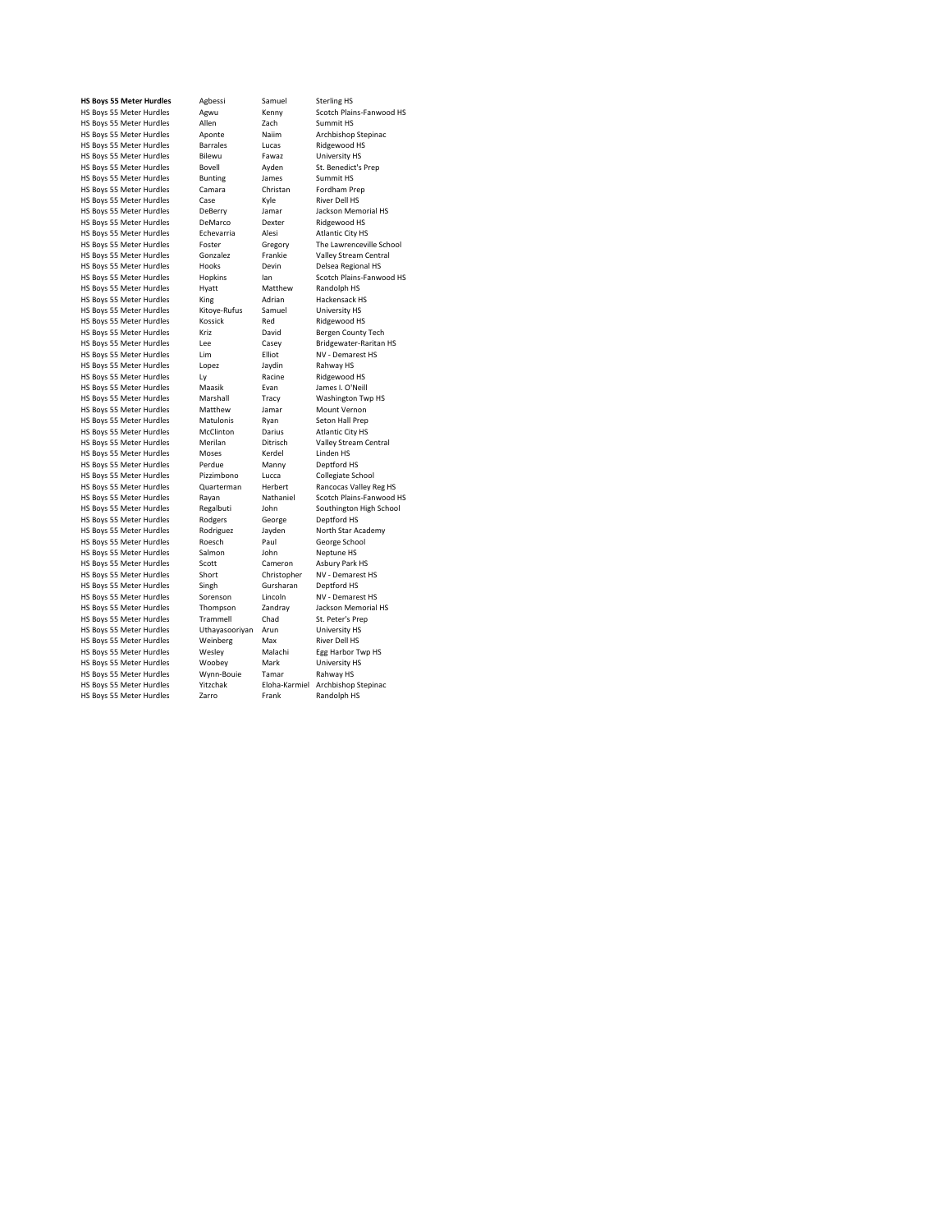HS Boys 55 Meter Hurdles Ly Ly Racine Ridgewood Racine Ridgewood Ridgewood Ridgewood Ridgewood Ridgewood Ridge<br>HS Boys 55 Meter Hurdles Maasik Evan HS Boys 55 Meter Hurdles (Quarterman Herbert Rancocas Valley Regnance HS Boys 55 Meter Hurdles Rayan HS Boys 55 Meter Hurdles

**HS Boys 55 Meter Hurdles** Agbessi Samuel Sterling HS<br>
HS Boys 55 Meter Hurdles Agwu Kenny Scotch Plair<br>
HS Boys 55 Meter Hurdles Allen Zach Summit HS Howser Bourning<br>
Hurdles Scotch Plains-Fanwood HS<br>
HS Summit HS HS Boys 55 Meter Hurdles Allen 2020<br>HS Boys 55 Meter Hurdles Allen 2020<br>HS Boys 55 Meter Hurdles Aponte Nailm Archbishop Stepinac HS Boys 55 Meter Hurdles Aponte Naiim Archbishop Stephen Stephen Archbishop Stephen<br>
HS Boys 55 Meter Hurdles Barrales Lucas Ridgewood HS HS Boys 55 Meter Hurdles Barrales Lucas Ridgewood HS<br>
HS Boys 55 Meter Hurdles Bilewu Fawaz University HS HS Boys 55 Meter Hurdles Bilewu Fawaz University HS HS Boys 55 Meter Hurdles Bovell Ayden St. Benedict<br>
HS Boys 55 Meter Hurdles Bunting James Summit HS HS Boys 55 Meter Hurdles Bunting James Summit HS HS Boys St Michael Boys Community Community Christian Fordham Preparation Christian Fordham Preparation Christan Fordham Preparation Christan Fordham Preparation Christan Fordham Preparation Christan Fordham Preparation Ch HS Boys 55 Meter Hurdles Case Kyle River Dell HS<br>
HS Boys 55 Meter Hurdles DeBerry Lamar Lackson Memorial HS HS Boys 55 Meter Hurdles DeBerry Jamar Jackson Memorial HS Boys 55 Meter Hurdles DeMarco Dexter Ridgewood HS HS Boys 35 Meter Hurdles<br>
HS Boys 55 Meter Hurdles<br>
HS Boys 55 Meter Hurdles<br>
HS Boys 55 Meter Hurdles<br>
Echevarria Alesi Atlantic City HS HS Boys 55 Meter Hurdles Echevarria Alesi Atlantic City HS<br>
HS Boys 55 Meter Hurdles Foster Gregory The Lawrenceville School HS Boys 55 Meter Hurdles Foster Gregory The Lawrenceville School and HS Boys 55 Meter Hurdles Gonzalez Frankie Valley Stream Central HS Boys 55 Meter Hurdles Gonzalez Frankie Valley Stream Central Space Central Central Central Operations Centr<br>HS Boys 55 Meter Hurdles Hooks Devin Delsea Regional HS HS Boys 55 Meter Hurdles Hooks Devin Delsea Regional HS<br>
HS Boys 55 Meter Hurdles Hopkins Ian Scotch Plains-Fanwood HS HS Boys 55 Meter Hurdles Hopkins Ian Scotch Plains-<br>IS Boys 55 Meter Hurdles Hyatt Matthew Randolph HS HS Boys 55 Meter Hurdles Hyatt Matthew Randolph HS<br>
HS Boys 55 Meter Hurdles King Adrian Hackensack HS HS Boys 55 Meter Hurdles Ming Adrian Hackensack H:<br>HS Boys 55 Meter Hurdles King Adrian Hackensack H:<br>HS Boys 55 Meter Hurdles Kitoye-Rufus Samuel University HS HS Boys 55 Meter Hurdles Kitoye-Rufus Samuel University HS<br>
HS Boys 55 Meter Hurdles Kossick Red Ridgewood HS HS Boys 55 Meter Hurdles Kossick Red Ridgewood HS HS Boys 55 Meter Hurdles Kriz Savid Bergen County Tech<br>
HS Boys 55 Meter Hurdles Lee Casey Bridgewater-Raritan HS HS Boys 55 Meter Hurdles Lee Casey Bridgewater-Raritan HS Boys 55 Meter Hurdles Lim Elliot NV - Demarest HS HS Boys 55 Meter Hurdles Lim Elliot NV - Demar<br>
HS Boys 55 Meter Hurdles Lopez Jaydin Rahway HS HS Boys 55 Meter Hurdles Lopez Jaydin Rahway HS<br>
HS Boys 55 Meter Hurdles Ly Racine Ridgewood HS<br>
HS Boys 55 Meter Hurdles Maasik Evan James I. O'Neill HS Boys 55 Meter Hurdles Maasik Evan James I. O'Neill HS Boys 55 Meter Hurdles Marshall Tracy Washington Types Shorter Hurdles Marshall Tracy Washington Types Shorter Hurdles Marshall Tracy Washington Types And HS Boys 55 Meter Hurdles HS Boys 55 Meter Hurdles Matthew Jamar Mount Vernon HS Boys 55 Meter Hurdles Matulonis Ryan Seton Hall Prep HS Boys 55 Meter Hurdles McClinton Darius Atlantic City HS<br>
HS Boys 55 Meter Hurdles Merilan Ditrisch Valley Stream Central HS Boys 55 Meter Hurdles Merilan Ditrisch Valley Stre<br>
HS Boys 55 Meter Hurdles Moses Kerdel Linden HS HS Boys 55 Meter Hurdles Moses Kerdel Linden HS<br>
HS Boys 55 Meter Hurdles Perdue Manny Deptford HS HS Boys 35 Meter Hurdles Marchael Control Control Control Deptford HS<br>HS Boys 55 Meter Hurdles Perdue Manny Deptford HS<br>HS Boys 55 Meter Hurdles Pizzimbono Lucca Collegiate School HS Boys 55 Meter Hurdles Pizzimbono Lucca<br>
HS Boys 55 Meter Hurdles Quarterman Herbert Rancocas Valley Reg HS Holden Hurdley Hurdles Control Hurdles Control Hurdles Rayan Nathaniel Scotch Plains-Fanwood HS<br>
Regalbuti John Southington High School HS Boys 55 Meter Hurdles<br>
HS Boys 55 Meter Hurdles<br>
HS Boys 55 Meter Hurdles<br>
Rodgers

George

Deptford HS HS Boys 55 Meter Hurdles Rodgers George Deptford HS<br>
HS Boys 55 Meter Hurdles Rodriguez Jayden North Star Academy HS Boys 55 Meter Hurdles Rodriguez Jayden North Star Academy Start Academy Start Academy Start Academy Start Academy Start Academy Start Academy Start Academy Start Academy Start Academy Start Academy Start Academy Start A HS Boys 55 Meter Hurdles Roesch Paul George School Paul George School Paul George School Paul George School Paul George School Paul George School Paul George School Paul George School Paul George School Paul George School HS Boys 55 Meter Hurdles Salmon John Neptune HS<br>
HS Boys 55 Meter Hurdles Scott Cameron Asbury Park HS HS Boys 55 Meter Hurdles Scott Cameron Asbury Park HS HS Boys 55 Meter Hurdles Moort Christopher MV - Demare<br>HS Boys 55 Meter Hurdles Short Christopher NV - Demare<br>HS Boys 55 Meter Hurdles Singh Gursharan Deptford HS HS Boys 55 Meter Hurdles Singh Gursharan Deptford HS<br>
HS Boys 55 Meter Hurdles Sorenson Lincoln NV - Demarest HS HS Boys 55 Meter Hurdles Sorenson Lincoln NV - Demarest HS<br>
HS Boys 55 Meter Hurdles Thompson Zandray Jackson Memorial HS HS Boys 55 Meter Hurdles Thompson Zandray Jackson Memor<br>
HS Boys 55 Meter Hurdles Trammell Chad St. Peter's Prep HS Boys 55 Meter Hurdles Trammell Chad St. Peter's Pre<br>
HS Boys 55 Meter Hurdles Uthavasoorivan Arun University HS HS Boys 55 Meter Hurdles Uthayasooriyan Arun University HS HS Boys 55 Meter Hurdles Weinberg Max River Dell HS HS Boys 55 Meter Hurdles Wesley Malachi Egg Harbor Ty<br>HS Boys 55 Meter Hurdles Woobey Mark University HS HS Boys 55 Meter Hurdles Woobey Mark University HS Boys 55 Meter Hurdles Wynn-Bouie Tamar Rahway HS HS Boys 55 Meter Hurdles Mynn-Bouie Tamar Rahway HS<br>
HS Boys 55 Meter Hurdles Yitzchak Eloha-Karmiel Archbishop Stepinac HS Boys 55 Meter Hurdles Yitzchak Eloha-Karmiel Archbishop Steps Archbishop Stepsing Carro Eloha-Karmiel Archbishop Stepsinac Hotel Archbishop Stepsinac Carro Eloha-Karmiel Archbishop Stepsinac Renault Archbishop Stepsinac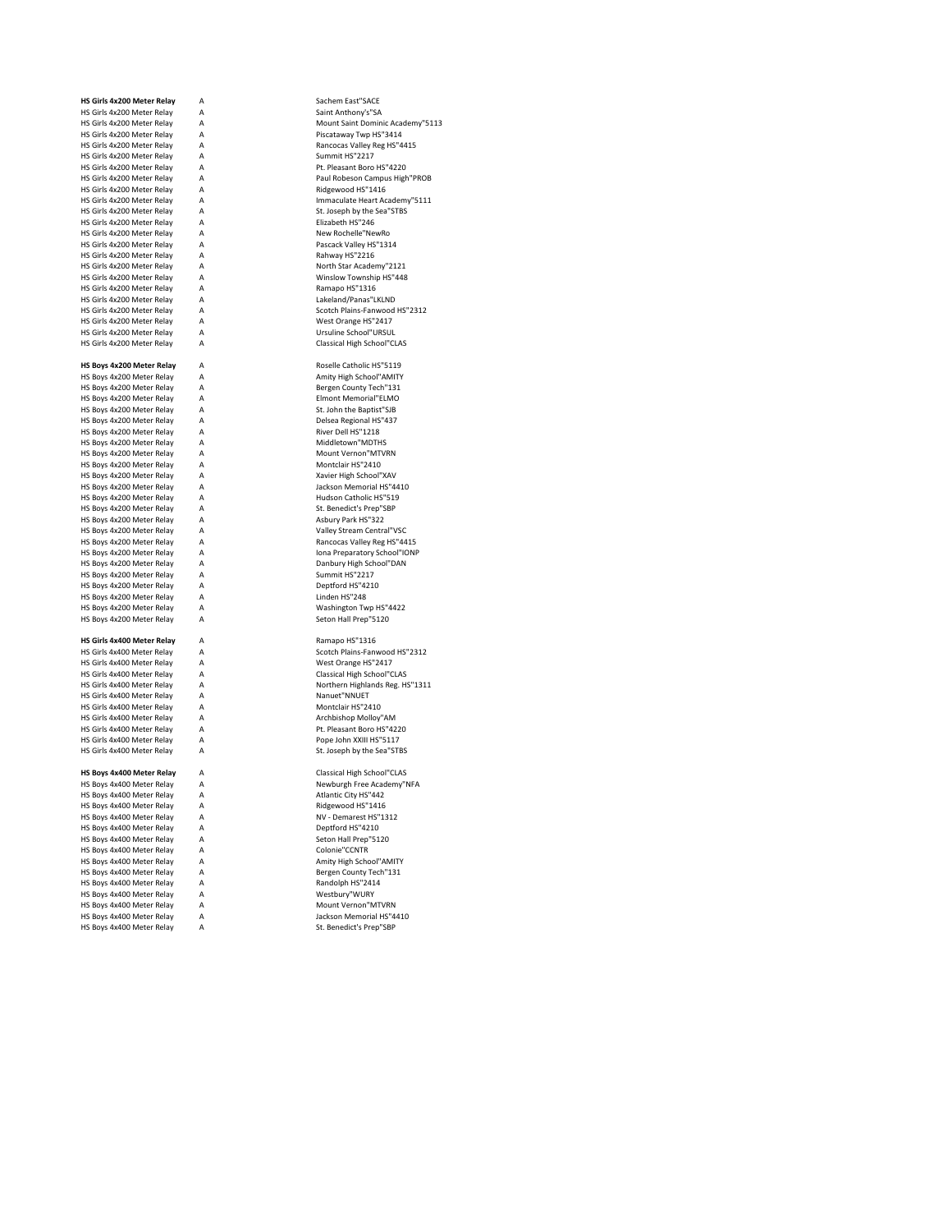| HS Girls 4x200 Meter Relay | А | Sachem East"SACE           |
|----------------------------|---|----------------------------|
| HS Girls 4x200 Meter Relay | Α | Saint Anthony's"SA         |
| HS Girls 4x200 Meter Relay | А | Mount Saint Dominic Acade  |
| HS Girls 4x200 Meter Relay | Α | Piscataway Twp HS"3414     |
| HS Girls 4x200 Meter Relay | Α | Rancocas Valley Reg HS"44: |
| HS Girls 4x200 Meter Relay | А | Summit HS"2217             |
| HS Girls 4x200 Meter Relay | А | Pt. Pleasant Boro HS"4220  |
| HS Girls 4x200 Meter Relay | A | Paul Robeson Campus High   |
| HS Girls 4x200 Meter Relav | А | Ridgewood HS"1416          |
| HS Girls 4x200 Meter Relay | Α | Immaculate Heart Academy   |
| HS Girls 4x200 Meter Relay | Α | St. Joseph by the Sea"STBS |
| HS Girls 4x200 Meter Relay | А | Elizabeth HS"246           |
| HS Girls 4x200 Meter Relay | Α | New Rochelle"NewRo         |
| HS Girls 4x200 Meter Relay | А | Pascack Valley HS"1314     |
| HS Girls 4x200 Meter Relay | A | Rahway HS"2216             |
| HS Girls 4x200 Meter Relav | Α | North Star Academy"2121    |
| HS Girls 4x200 Meter Relay | А | Winslow Township HS"448    |
| HS Girls 4x200 Meter Relay | А | Ramapo HS"1316             |
| HS Girls 4x200 Meter Relay | A | Lakeland/Panas"LKLND       |
| HS Girls 4x200 Meter Relav | А | Scotch Plains-Fanwood HS"  |
| HS Girls 4x200 Meter Relay | Α | West Orange HS"2417        |
|                            | Α | Ursuline School"URSUL      |
| HS Girls 4x200 Meter Relay |   |                            |
| HS Girls 4x200 Meter Relay | Α | Classical High School"CLAS |
|                            |   |                            |
| HS Boys 4x200 Meter Relay  | А | Roselle Catholic HS"5119   |
| HS Boys 4x200 Meter Relay  | Α | Amity High School"AMITY    |
| HS Boys 4x200 Meter Relay  | Α | Bergen County Tech"131     |
| HS Boys 4x200 Meter Relay  | Α | Elmont Memorial"ELMO       |
| HS Boys 4x200 Meter Relay  | А | St. John the Baptist"SJB   |
| HS Boys 4x200 Meter Relay  | Α | Delsea Regional HS"437     |
| HS Boys 4x200 Meter Relay  | А | River Dell HS"1218         |
| HS Boys 4x200 Meter Relay  | Α | Middletown"MDTHS           |
| HS Boys 4x200 Meter Relay  | Α | Mount Vernon"MTVRN         |
| HS Boys 4x200 Meter Relay  | Α | Montclair HS"2410          |
| HS Boys 4x200 Meter Relay  | Α | Xavier High School"XAV     |
| HS Boys 4x200 Meter Relay  | А | Jackson Memorial HS"4410   |
| HS Boys 4x200 Meter Relay  | Α | Hudson Catholic HS"519     |
| HS Boys 4x200 Meter Relay  | Α |                            |
|                            |   | St. Benedict's Prep"SBP    |
| HS Boys 4x200 Meter Relay  | А | Asbury Park HS"322         |
| HS Boys 4x200 Meter Relay  | A | Valley Stream Central"VSC  |
| HS Boys 4x200 Meter Relay  | Α | Rancocas Valley Reg HS"44: |
| HS Boys 4x200 Meter Relay  | А | Iona Preparatory School"IO |
| HS Boys 4x200 Meter Relay  | Α | Danbury High School"DAN    |
| HS Boys 4x200 Meter Relay  | Α | Summit HS"2217             |
| HS Boys 4x200 Meter Relay  | Α | Deptford HS"4210           |
| HS Boys 4x200 Meter Relay  | Α | Linden HS"248              |
| HS Boys 4x200 Meter Relay  | А | Washington Twp HS"4422     |
| HS Boys 4x200 Meter Relay  | Α | Seton Hall Prep"5120       |
|                            |   |                            |
| HS Girls 4x400 Meter Relay | Α | Ramapo HS"1316             |
| HS Girls 4x400 Meter Relay | A | Scotch Plains-Fanwood HS"  |
| HS Girls 4x400 Meter Relay | Α | West Orange HS"2417        |
| HS Girls 4x400 Meter Relay | А | Classical High School"CLAS |
| HS Girls 4x400 Meter Relay | Α | Northern Highlands Reg. HS |
| HS Girls 4x400 Meter Relay | Α | Nanuet"NNUET               |
| HS Girls 4x400 Meter Relav | Α | Montclair HS"2410          |
|                            | А |                            |
| HS Girls 4x400 Meter Relay |   | Archbishop Molloy"AM       |
| HS Girls 4x400 Meter Relay | Α | Pt. Pleasant Boro HS"4220  |
| HS Girls 4x400 Meter Relay | Α | Pope John XXIII HS"5117    |
| HS Girls 4x400 Meter Relay | А | St. Joseph by the Sea"STBS |
|                            |   |                            |
| HS Boys 4x400 Meter Relay  | А | Classical High School"CLAS |
| HS Boys 4x400 Meter Relay  | А | Newburgh Free Academy"N    |
| HS Boys 4x400 Meter Relay  | А | Atlantic City HS"442       |
| HS Boys 4x400 Meter Relay  | А | Ridgewood HS"1416          |
| HS Boys 4x400 Meter Relay  | А | NV - Demarest HS"1312      |
| HS Boys 4x400 Meter Relay  | А | Deptford HS"4210           |
| HS Boys 4x400 Meter Relay  | А | Seton Hall Prep"5120       |
| HS Boys 4x400 Meter Relay  | А | Colonie"CCNTR              |
| HS Boys 4x400 Meter Relay  | А | Amity High School"AMITY    |
|                            |   |                            |
| HS Boys 4x400 Meter Relay  | А | Bergen County Tech"131     |
| HS Boys 4x400 Meter Relay  | А | Randolph HS"2414           |
| HS Boys 4x400 Meter Relay  | A | Westbury"WURY              |
| HS Boys 4x400 Meter Relay  | Α | Mount Vernon"MTVRN         |
| HS Boys 4x400 Meter Relay  | А | Jackson Memorial HS"4410   |
| HS Boys 4x400 Meter Relay  | Α | St. Benedict's Prep"SBP    |

A Sachem East"SACE A Saint Anthony's"SA A Mount Saint Dominic Academy"5113<br>A Piscataway Twp H5"3414 A Piscataway Twp HS"3414 A Rancocas Valley Reg HS"4415 A<br>
A<br>
A<br>
A<br>
Pt. Pleasant Boro<br>
Paul Robeson Can<br>
Paul Robeson Can A Pt. Pleasant Boro HS"4220 A Paul Robeson Campus High"PROB A Ridgewood HS"1416<br>A Ridgewood HS"1416<br>Mmaculate Heart Ac A Immaculate Heart Academy"5111<br>A St. Joseph by the Sea"STBS A St. Joseph by the Sea"STBS<br>A Elizabeth HS"246 A<br>
A<br>
Elizabeth HS"246<br>
New Rochelle "New A New Rochelle"NewRo<br>A Pascack Valley HS"13 A Pascack Valley HS"1314<br>A Rahway HS"2216<br>A North Star Academy"21. Rahway HS"2216 A North Star Academy"2121 A Winslow Township HS"448<br>A Ramapo HS"1316<br>A Lakeland/Panas"LKLND Ramapo HS"1316 A<br>
A<br>
A<br>
A<br>
Scotch Plains-Fanwood<br>
West Orange HS<sup>11</sup>2417 A Scotch Plains-Fanwood HS"2312 A West Orange HS"2417 A Ursuline School"URSUL<br>A Classical High School"Cl Classical High School"CLAS A Roselle Catholic HS"5119<br>A Amity High School"AMITY A Amity High School"AMITY A Bergen County Tech"131 A<br>
A<br>
Elmont Memorial"ELMO<br>
A<br>
A<br>
A<br>
Oelsea Regional HS"437 St. John the Baptist"SJB A Delsea Regional HS"437<br>A Delsea Regional HS"437<br>River Dell HS"1218 A River Dell HS"1218<br>A River Dell HS"1218<br>A Middletown"MDTH A Middletown"MDTHS<br>A Mount Vernon"MTVF<br>A Montclair HS"2410 A Mount Vernon"MTVRN A<br>
A<br>
Montclair HS"2410<br>
A<br>
A<br>
Jackson Memorial H A Xavier High School"XAV A Jackson Memorial HS"4410<br>A Hudson Catholic HS"519 A<br>
A<br>
A<br>
A<br>
St. Benedict's Prep"SBP<br>
A<br>
Asbury Park HS"322 St. Benedict's Prep"SBP A<br>
A A A A A Valley Stream Central<br>
A Valley Stream Central A Valley Stream Central"VSC<br>A Rancocas Valley Reg HS"44 A Rancocas Valley Reg HS"4415<br>A Iona Preparatory School"IONP<br>A Danbury High School"DAN A Iona Preparatory School"IONP A Danbury High School"DAN A<br>A<br>A<br>Deptford HS"2217 Deptford HS"4210 A<br>
A<br>
A<br>
A<br>
Containing Machine Townships Containing Machine<br>
Seton Hall Prep Washington Twp HS"4422 Seton Hall Prep"5120 A Ramapo HS"1316<br>A Scotch Plains-Fany A Scotch Plains-Fanwood HS"2312 A West Orange HS"2417 A Classical High School"CLAS<br>A Classical High School"CLAS<br>A Northern Highlands Reg. H: A Northern Highlands Reg. HS"1311<br>A Nanuet"NNUET A Nanuet"NNUET<br>A Montclair HS"24<br>A Archbishop Mol Montclair HS"2410 A A Archbishop Molloy"AM<br>A Pt. Pleasant Boro HS"42 A Pt. Pleasant Boro HS"4220<br>A Pope John XXIII HS"5117 A Pope John XXIII HS"5117<br>A St. Joseph by the Sea"STE St. Joseph by the Sea"STBS A Classical High School"CLAS<br>A Newburgh Free Academy"N A Newburgh Free Academy"NFA<br>
Atlantic City HS"442<br>
A Ridgewood HS"1416 Atlantic City HS"442 A Ridgewood HS"1416<br>A Ridgewood HS"1416<br>A Deptford HS"120<br>A Deptford HS"1210 NV - Demarest HS"1312 Deptford HS"4210 A<br>
A<br>
A<br>
Seton Hall Prep"5120<br>
A<br>
Colonie"CCNTR A Colonie"CCNTR<br>A Amity High Scho Amity High School"AMITY A Bergen County Tech"131<br>A Randolph HS"2414 A Randolph HS"2414<br>A Westbury"WURY Westbury"WURY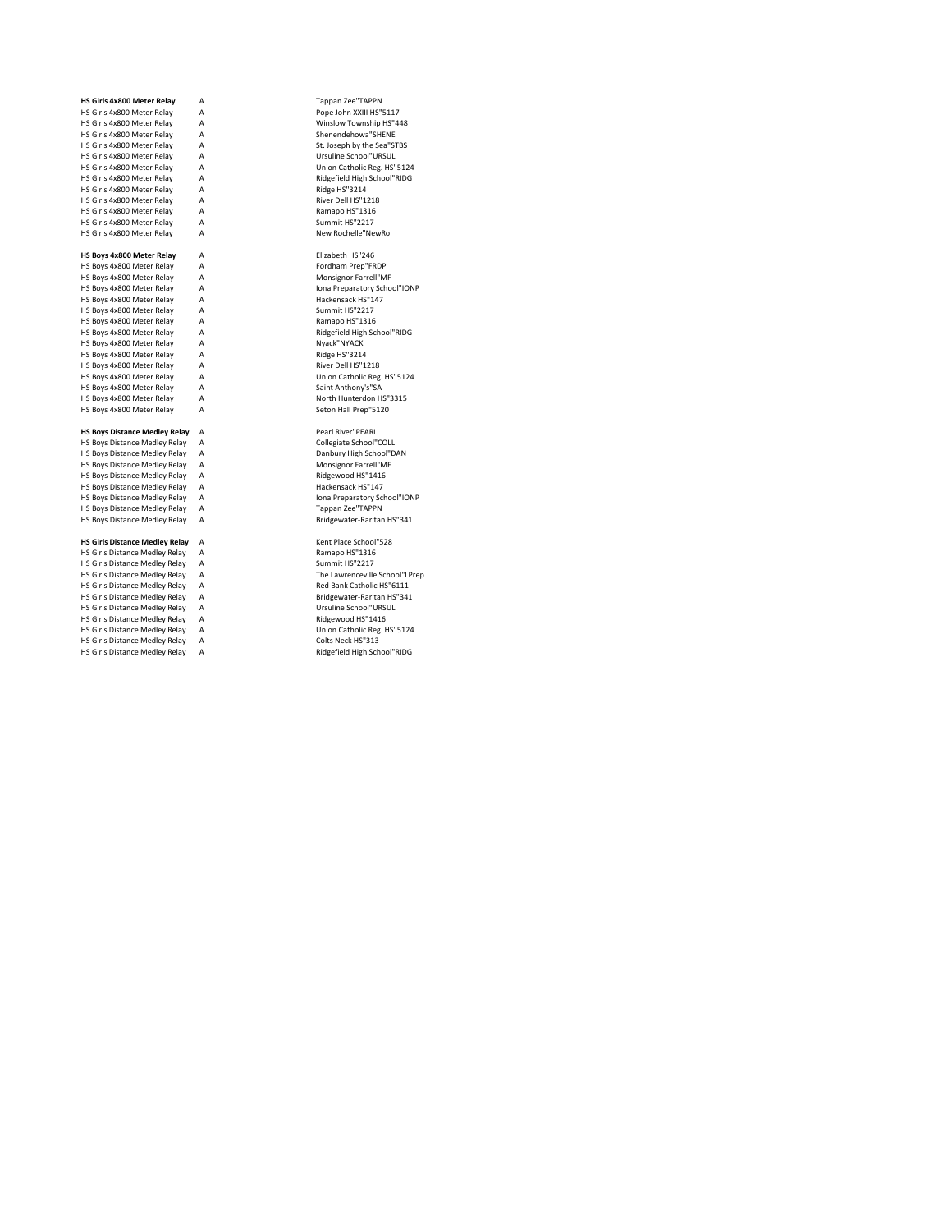| HS Girls 4x800 Meter Relay            | A | Tappan Zee"TAPPN               |
|---------------------------------------|---|--------------------------------|
| HS Girls 4x800 Meter Relay            | A | Pope John XXIII HS"5117        |
| HS Girls 4x800 Meter Relay            | A | Winslow Township HS"448        |
| HS Girls 4x800 Meter Relay            | A | Shenendehowa"SHENE             |
| HS Girls 4x800 Meter Relay            | A | St. Joseph by the Sea"STBS     |
| HS Girls 4x800 Meter Relay            | A | Ursuline School"URSUL          |
| HS Girls 4x800 Meter Relay            | A | Union Catholic Reg. HS"5124    |
| HS Girls 4x800 Meter Relay            | A | Ridgefield High School"RIDG    |
| HS Girls 4x800 Meter Relay            | A | Ridge HS"3214                  |
| HS Girls 4x800 Meter Relay            | A | River Dell HS"1218             |
| HS Girls 4x800 Meter Relay            | А | Ramapo HS"1316                 |
| HS Girls 4x800 Meter Relay            | A | Summit HS"2217                 |
| HS Girls 4x800 Meter Relay            | A | New Rochelle"NewRo             |
|                                       |   |                                |
| HS Boys 4x800 Meter Relay             | A | Elizabeth HS"246               |
| HS Boys 4x800 Meter Relay             | A | Fordham Prep"FRDP              |
| HS Boys 4x800 Meter Relay             | A | Monsignor Farrell"MF           |
| HS Boys 4x800 Meter Relay             | A | Iona Preparatory School"IONP   |
| HS Boys 4x800 Meter Relay             | A | Hackensack HS"147              |
| HS Boys 4x800 Meter Relay             | A | Summit HS"2217                 |
| HS Boys 4x800 Meter Relay             | A | Ramapo HS"1316                 |
| HS Boys 4x800 Meter Relay             | A | Ridgefield High School"RIDG    |
| HS Boys 4x800 Meter Relay             | A | Nyack"NYACK                    |
| HS Boys 4x800 Meter Relay             | A | Ridge HS"3214                  |
| HS Boys 4x800 Meter Relay             | A | River Dell HS"1218             |
| HS Boys 4x800 Meter Relay             | A | Union Catholic Reg. HS"5124    |
| HS Boys 4x800 Meter Relay             | A | Saint Anthony's"SA             |
| HS Boys 4x800 Meter Relay             | A | North Hunterdon HS"3315        |
| HS Boys 4x800 Meter Relay             | А | Seton Hall Prep"5120           |
|                                       |   |                                |
| <b>HS Boys Distance Medley Relay</b>  | А | Pearl River"PEARL              |
| HS Boys Distance Medley Relay         | A | Collegiate School"COLL         |
| HS Boys Distance Medley Relay         | A | Danbury High School"DAN        |
| HS Boys Distance Medley Relay         | A | Monsignor Farrell"MF           |
| HS Boys Distance Medley Relay         | A | Ridgewood HS"1416              |
| HS Boys Distance Medley Relay         | A | Hackensack HS"147              |
| HS Boys Distance Medley Relay         | A | Iona Preparatory School"IONP   |
| HS Boys Distance Medley Relay         | A | Tappan Zee"TAPPN               |
| HS Boys Distance Medley Relay         | A | Bridgewater-Raritan HS"341     |
|                                       |   |                                |
| <b>HS Girls Distance Medley Relay</b> | A | Kent Place School"528          |
| HS Girls Distance Medley Relay        | A | Ramapo HS"1316                 |
| HS Girls Distance Medley Relay        | A | Summit HS"2217                 |
| HS Girls Distance Medley Relay        | A | The Lawrenceville School"LPrep |
| HS Girls Distance Medley Relay        | A | Red Bank Catholic HS"6111      |
| HS Girls Distance Medley Relay        | A | Bridgewater-Raritan HS"341     |
| HS Girls Distance Medley Relay        | A | Ursuline School"URSUL          |
| HS Girls Distance Medley Relay        | A | Ridgewood HS"1416              |
| HS Girls Distance Medley Relay        | A | Union Catholic Reg. HS"5124    |
| HS Girls Distance Medley Relay        | A | Colts Neck HS"313              |

Kent Place School"528 Hold Distance Medicine Ramapo HS"1316<br>Summit HS"2217 HS Girls Distance Medley Relay A Ridgefield High School"RIDG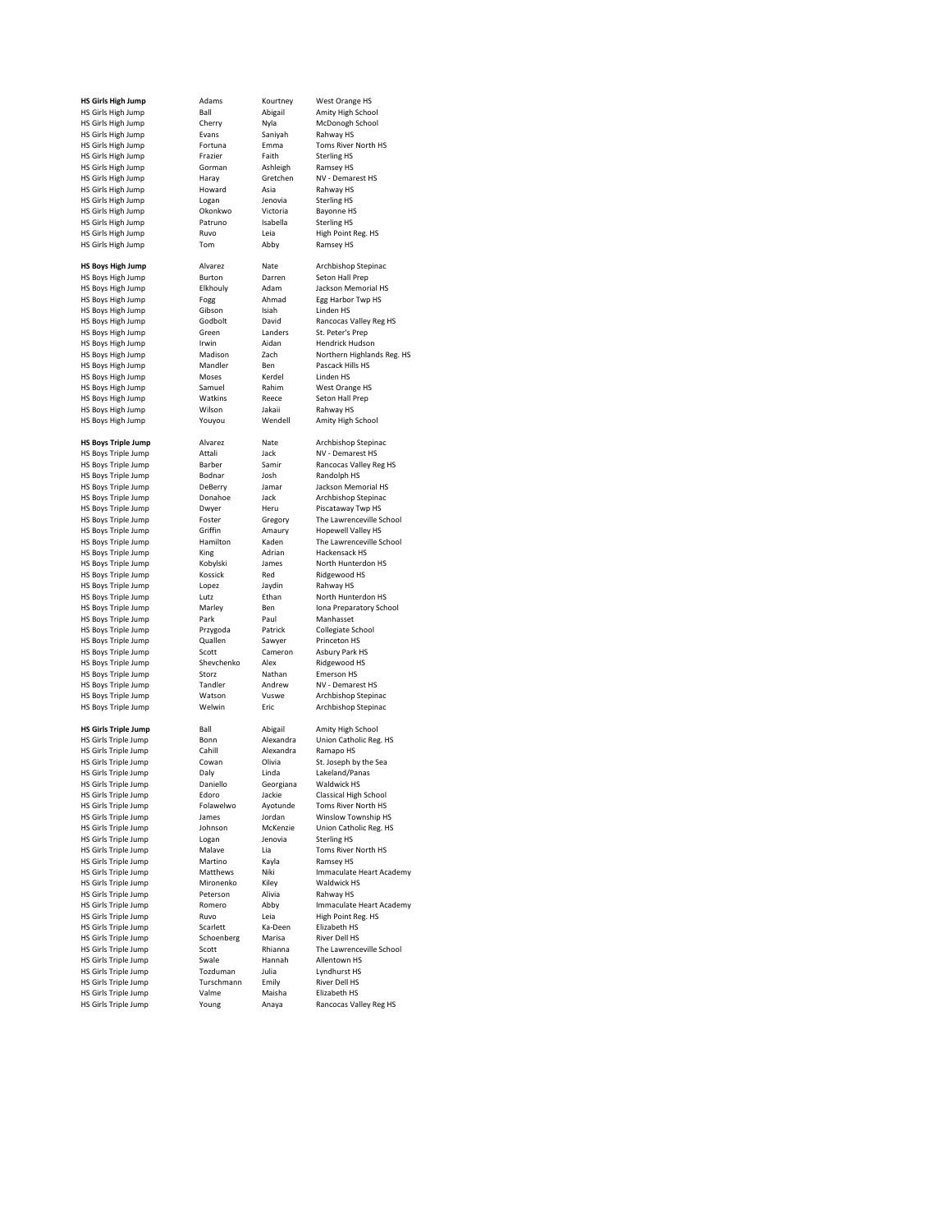| <b>HS Girls High Jump</b>   | Adams          | Kourtney  | West Orange HS                       |
|-----------------------------|----------------|-----------|--------------------------------------|
| HS Girls High Jump          | Ball           | Abigail   | Amity High School                    |
| HS Girls High Jump          | Cherry         | Nyla      | McDonogh School                      |
| HS Girls High Jump          | <b>Fvans</b>   | Saniyah   | Rahway HS                            |
| HS Girls High Jump          | Fortuna        | Emma      | Toms River North HS                  |
| HS Girls High Jump          | Frazier        | Faith     | <b>Sterling HS</b>                   |
| HS Girls High Jump          | Gorman         | Ashleigh  | Ramsey HS                            |
| HS Girls High Jump          | Haray          | Gretchen  | NV - Demarest HS                     |
| HS Girls High Jump          | Howard         | Asia      | Rahway HS                            |
| HS Girls High Jump          | Logan          | Jenovia   | <b>Sterling HS</b>                   |
| HS Girls High Jump          | Okonkwo        | Victoria  | <b>Bayonne HS</b>                    |
| HS Girls High Jump          | Patruno        | Isabella  | <b>Sterling HS</b>                   |
|                             |                |           |                                      |
| HS Girls High Jump          | Ruvo           | Leia      | High Point Reg. HS                   |
| HS Girls High Jump          | Tom            | Abby      | Ramsey HS                            |
|                             |                |           |                                      |
| <b>HS Boys High Jump</b>    | Alvarez        | Nate      | Archbishop Stepinac                  |
| HS Boys High Jump           | Burton         | Darren    | Seton Hall Prep                      |
| HS Boys High Jump           | Elkhouly       | Adam      | Jackson Memorial HS                  |
| <b>HS Boys High Jump</b>    | Fogg           | Ahmad     | Egg Harbor Twp HS                    |
| HS Boys High Jump           | Gibson         | Isiah     | Linden <sub>HS</sub>                 |
| HS Boys High Jump           | Godbolt        | David     | Rancocas Valley Reg HS               |
| HS Boys High Jump           | Green          | Landers   | St. Peter's Prep                     |
| HS Boys High Jump           | Irwin          | Aidan     | Hendrick Hudson                      |
| HS Boys High Jump           | Madison        | Zach      | Northern Highlands Reg. HS           |
|                             |                |           | Pascack Hills HS                     |
| HS Boys High Jump           | Mandler        | Ben       |                                      |
| HS Boys High Jump           | Moses          | Kerdel    | Linden HS                            |
| HS Boys High Jump           | Samuel         | Rahim     | West Orange HS                       |
| HS Boys High Jump           | Watkins        | Reece     | Seton Hall Prep                      |
| HS Boys High Jump           | Wilson         | Jakaii    | Rahway HS                            |
| HS Boys High Jump           | Youyou         | Wendell   | Amity High School                    |
|                             |                |           |                                      |
| <b>HS Boys Triple Jump</b>  | Alvarez        | Nate      | Archbishop Stepinac                  |
| HS Boys Triple Jump         | Attali         | Jack      | NV - Demarest HS                     |
| HS Boys Triple Jump         | Barber         | Samir     | Rancocas Valley Reg HS               |
| HS Boys Triple Jump         | Bodnar         | Josh      | Randolph HS                          |
|                             |                |           |                                      |
| HS Boys Triple Jump         | DeBerry        | Jamar     | Jackson Memorial HS                  |
| HS Boys Triple Jump         | Donahoe        | Jack      | Archbishop Stepinac                  |
| <b>HS Boys Triple Jump</b>  | Dwyer          | Heru      | Piscataway Twp HS                    |
| HS Boys Triple Jump         | Foster         | Gregory   | The Lawrenceville School             |
| HS Boys Triple Jump         | Griffin        | Amaury    | Hopewell Valley HS                   |
| <b>HS Boys Triple Jump</b>  | Hamilton       | Kaden     | The Lawrenceville School             |
| HS Boys Triple Jump         | King           | Adrian    | Hackensack HS                        |
| HS Boys Triple Jump         | Kobylski       | James     | North Hunterdon HS                   |
| HS Boys Triple Jump         | Kossick        | Red       | Ridgewood HS                         |
| HS Boys Triple Jump         | Lopez          | Jaydin    | Rahway HS                            |
| HS Boys Triple Jump         | Lutz           | Ethan     | North Hunterdon HS                   |
|                             |                | Ben       |                                      |
| HS Boys Triple Jump         | Marley<br>Park | Paul      | Iona Preparatory School<br>Manhasset |
| HS Boys Triple Jump         |                |           |                                      |
| HS Boys Triple Jump         | Przygoda       | Patrick   | Collegiate School                    |
| HS Boys Triple Jump         | Quallen        | Sawyer    | Princeton HS                         |
| HS Boys Triple Jump         | Scott          | Cameron   | Asbury Park HS                       |
| HS Boys Triple Jump         | Shevchenko     | Alex      | Ridgewood HS                         |
| HS Boys Triple Jump         | Storz          | Nathan    | <b>Emerson HS</b>                    |
| HS Boys Triple Jump         | Tandler        | Andrew    | NV - Demarest HS                     |
| <b>HS Boys Triple Jump</b>  | Watson         | Vuswe     | Archbishop Stepinac                  |
| <b>HS Boys Triple Jump</b>  | Welwin         | Eric      | Archbishop Stepinac                  |
|                             |                |           |                                      |
| <b>HS Girls Triple Jump</b> | Rall           | Abigail   | Amity High School                    |
| HS Girls Triple Jump        | Bonn           | Alexandra | Union Catholic Reg. HS               |
|                             | Cahill         | Alexandra |                                      |
| HS Girls Triple Jump        |                |           | Ramapo HS                            |
| HS Girls Triple Jump        | Cowan          | Olivia    | St. Joseph by the Sea                |
| HS Girls Triple Jump        | Dalv           | Linda     | Lakeland/Panas                       |
| HS Girls Triple Jump        | Daniello       | Georgiana | Waldwick HS                          |
| <b>HS Girls Triple Jump</b> | Edoro          | Jackie    | Classical High School                |
| HS Girls Triple Jump        | Folawelwo      | Ayotunde  | Toms River North HS                  |
| HS Girls Triple Jump        | James          | Jordan    | Winslow Township HS                  |
| HS Girls Triple Jump        | Johnson        | McKenzie  | Union Catholic Reg. HS               |
| HS Girls Triple Jump        | Logan          | Jenovia   | <b>Sterling HS</b>                   |
| HS Girls Triple Jump        | Malave         | Lia       | Toms River North HS                  |
| HS Girls Triple Jump        | Martino        | Kayla     | Ramsey HS                            |
| HS Girls Triple Jump        | Matthews       | Niki      | Immaculate Heart Academy             |
| HS Girls Triple Jump        |                |           | Waldwick HS                          |
|                             | Mironenko      | Kiley     |                                      |
| HS Girls Triple Jump        | Peterson       | Alivia    | Rahway HS                            |
| HS Girls Triple Jump        | Romero         | Abby      | Immaculate Heart Academy             |
| HS Girls Triple Jump        | Ruvo           | Leia      | High Point Reg. HS                   |
| HS Girls Triple Jump        | Scarlett       | Ka-Deen   | Elizabeth HS                         |
| HS Girls Triple Jump        | Schoenberg     | Marisa    | <b>River Dell HS</b>                 |
| HS Girls Triple Jump        | Scott          | Rhianna   | The Lawrenceville School             |
| HS Girls Triple Jump        | Swale          | Hannah    | Allentown HS                         |
| HS Girls Triple Jump        | Tozduman       | Julia     | Lyndhurst HS                         |
| HS Girls Triple Jump        | Turschmann     | Emily     | <b>River Dell HS</b>                 |
|                             |                |           |                                      |
| HS Girls Triple Jump        | Valme          | Maisha    | Elizabeth HS                         |
| HS Girls Triple Jump        | Young          | Anaya     | Rancocas Valley Reg HS               |
|                             |                |           |                                      |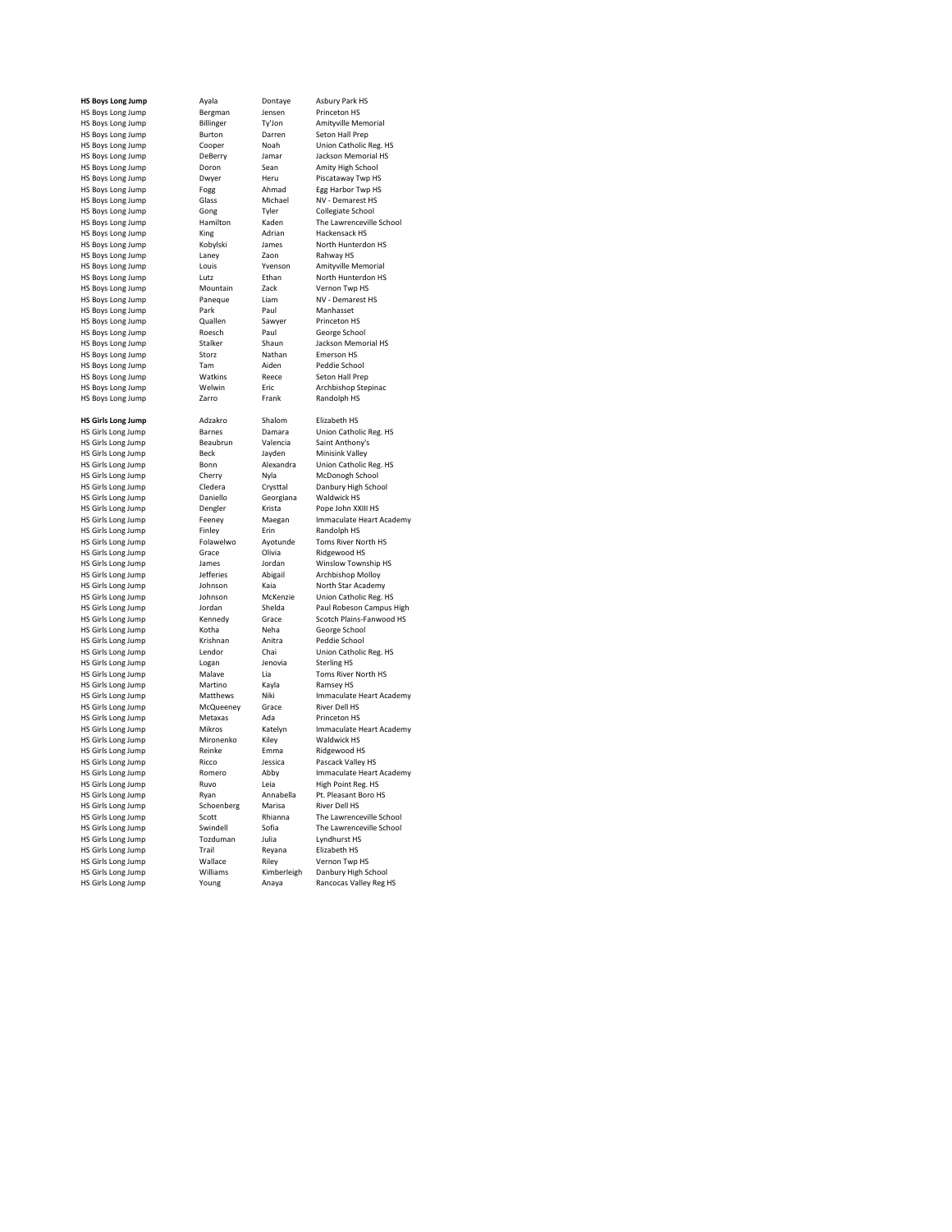HS Boys Long Jump Bergman Jensen<br>
HS Boys Long Jump Billinger Ty'Jon HS Boys Long Jump Burton Darren Burton Darren Burton Darren Burton Burton Barnen Burton Burton Burton Burton B<br>HS Boys Long Jump Cooper Noah HS Boys Long Jump Doron Sean<br>
HS Boys Long Jump<br>
Dwyer Heru HS Boys Long Jump Gong Tyler<br>
HS Boys Long Jump Hamilton Kaden HS Boys Long Jump Stalker Shaun<br>HS Boys Long Jump Storz Nathan HS Boys Long Jump Watkins Reet<br>
HS Boys Long Jump Welwin Fric HS Boys Long Jump HS Girls Long Jump Beck Bayden<br>
HS Girls Long Jump Bonn Bonn Alexandra HS Girls Long Jump Cherry Nyla<br>
HS Girls Long Jump Cledera Crysttal HS Girls Long Jump **Dengler** Krista<br>
HS Girls Long Jump **Dengler** Krista<br>
HS Girls Long Jump **Feeney** Maegan HS Girls Long Jump Folawelwo Ayotunde HS Girls Long Jump Folawelwo Ayotunde Toms River North HS Girls And HS Girls And HS Girls And HS Girls And HS Girls And HS Girls And HS Girls And HS Girls And HS Girls And HS Girls And HS Girls Long Jump Grace Olivia<br>
HS Girls Long Jump James Jordan HS Girls Long Jump<br>HS Girls Long Jump HS Girls Long Jump Krishnan Anitra Peddie School HS Girls Long Jump<br>
HS Girls Long Jump<br>
HS Girls Long Jump<br>
Malave Lia HS Girls Long Jump Martino Kayla<br>
HS Girls Long Jump Matthews Niki HS Girls Long Jump Metaxas Ada<br>
HS Girls Long Jump Mikros Katelyn HS Girls Long Jump Ricco Bissic<br>
HS Girls Long Jump Romero Abby HS Girls Long Jump Schoenberg Marisa<br>
HS Girls Long Jump Scott Rhianna HS Girls Long Jump HS Girls Long Jump **Williams** Kimberleigh Danbury High School<br>HS Girls Long Jump Young Anaya Rancocas Valley Reg

**HS Boys Long Jump** Ayala Dontaye Asbury Park HS Hergens Horstein Construction<br>Billinger Ty'Jon Amityville Memorial<br>Burton Darren Seton Hall Prep HS Boys Long Jump Cooper Noah Union Catholic Reg. HS Holland Holland Jump DeBerry Jamar Jackson Memorial HS<br>Doron Sean Amity High School Morthalth Heru Piscataway Twp HS Piscataway Twp HS<br>Pogg Mahmad Egg Harbor Twp HS HS Boys Long Jump For Form Form and Form Twp H<br>
HS Boys Long Jump Form Form Ahmad Form Form HS Roys Long Jump Glass Michael NV - Demarest HS HS Boys Long Jump Glass Michael NV - Demarest HS<br>
HS Boys Long Jump Gong Tyler Collegiate School Hamilton Kaden The Lawrenceville School<br>
King Adrian Hackensack HS HS Boys Long Jump King Adrian Hackensack HS HS Boys Long Jump Kobylski James North Hunterdon HS HS Boys Long Jump Laney Zaon Rahway HS Boys Long Jump Louis Venson Amityville Memorial HS Boys Long Jump Louis The Menson Amityville Memorial<br>
HS Boys Long Jump Lutz Ethan North Hunterdon HS HS Boys Long Jump Lutz Lutz Ethan North Hunterdon HS Boys Long Jump Ltd Mountain Zack Vernon Twp HS HS Boys Long Jump **Mountain** Zack Vernon Twp HS<br>
HS Boys Long Jump **Mountain** Liam **MV** - Demarest HS HS Boys Long Jump Paneque Liam NV - Demarest HS HS Boys Long Jump Park Paul Manhasset HS Boys Long Jump Quallen Sawyer Princeton HS HS Boys Long Jump Roesch Paul George School<br>
HS Boys Long Jump Stalker Shaun Jackson Memorial HS HS Boys Long Jump Storz Nathan Emerson HS<br>
HS Boys Long Jump Story Tam Aiden Peddie School HS Boys Long Jump Tam Aiden Peddie School<br>
HS Boys Long Jump Watkins Reece Seton Hall Prep Welwin Eric Archbishop Stepinac<br>
The Boys Long Tank Randolph HS **HS Girls Long Jump** Adzakro Shalom Elizabeth HS<br>**HS Girls Long Jump** Barnes Damara Union Cathol Homes Chemina Chemina Chemina<br>
Barnes Damara Union Catholic Reg. HS<br>
Beaubrun Valencia Saint Anthony's HS Girls Long Jump **Beaubrun** Valencia Saint Anthony<br>
HS Girls Long Jump **Beck** Beck Javden Minisink Valley Homann Hexandra Union Catholic Reg. HS<br>
Cherry Myla McDonogh School Cledera Crysttal Danbury High School<br>Daniello Georgiana Waldwick HS HS Girls Long Jump Daniello Georgiana Waldwick HS Feeney Maegan Immaculate Heart Academy<br>
Finley Erin Randolph HS HS Girls Long Jump Finley Finley Erin Randolph HS<br>HS Girls Long Jump Folawelwo Ayotunde Toms River North HS HS Girls Long Jump Grace Alivia Ridgewood HS<br>The Sirls Long Jump James Jordan Winslow Township HS<br>The Sirls Long Jump Jefferies Abigail Archbishop Molloy Homes Homes Homes Computed Computed Computed Computed Computed Computed Computed Computed Computed Computed Computed Computed Computed Computed Computed Computed Computed Computed Computed Computed Computed Computed Comput HS Girls Long Jump Johnson McKenzie Union Catholic Reg. HS Fordan Shelda Paul Robeson Campus High<br>
Kennedy Grace Scotch Plains-Fanwood HS HS Girls Long Jump Kennedy Grace Scotch Plains-Fanwood HS HS Girls Long Jump Kotha Neha George School Lendor Chai Union Catholic Reg. HS<br>Logan Jenovia Sterling HS Malave Lia Toms River North HS<br>
Martino Kayla Ramsey HS Matthews Niki Immaculate Heart Academy<br>McQueeney Grace River Dell HS HS Girls Long Jump **McQueeney** Grace River Dell HS<br>
HS Girls Long Jump **Metaxas** Ada Princeton HS Mikros Katelyn Immaculate Heart Academy<br>Mironenko Kiley Waldwick HS HS Girls Long Jump Mironenko Kiley Waldwick HS<br>
HS Girls Long Jump Reinke Emma Ridgewood HS HS Girls Long Jump Reinke Emma Ridgewood HS HS Girls Long Jump Romero Abby Immaculate Heart Academy HS Girls Long Jump Ruvo Leia High Point Reg. HS HS Girls Long Jump **Ryan Annabella** Pt. Pleasant B<br>HS Girls Long Jump **Schoenberg** Marisa River Dell HS From Home Control Control Control Control Control Control Control Control Control Control Control Control Control Control Control Control Control Control Control Control Control Control Control Control Control Control Cont HS Girls Long Jump Swindell Sofia The Lawrence<br>
HS Girls Long Jump Tozduman Julia Lyndhurst HS HS Girls Long Jump Tozduman Julia Lyndhurst HS<br>
HS Girls Long Jump Trail Reyana Elizabeth HS HS Girls Long Jump<br>
HS Girls Long Jump Trail Reyana Elizabeth HS<br>
HS Girls Long Jump Wallace Riley Vernon Twp HS

Rancocas Valley Reg HS